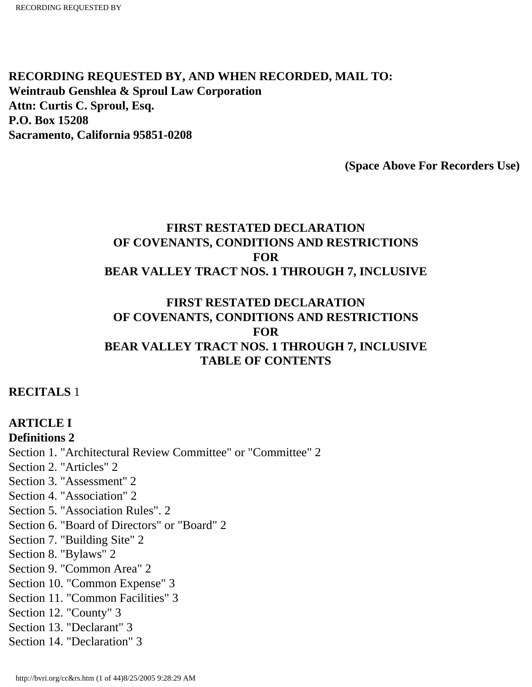**RECORDING REQUESTED BY, AND WHEN RECORDED, MAIL TO: Weintraub Genshlea & Sproul Law Corporation Attn: Curtis C. Sproul, Esq. P.O. Box 15208 Sacramento, California 95851-0208**

**(Space Above For Recorders Use)** 

## **FIRST RESTATED DECLARATION OF COVENANTS, CONDITIONS AND RESTRICTIONS FOR BEAR VALLEY TRACT NOS. 1 THROUGH 7, INCLUSIVE**

### **FIRST RESTATED DECLARATION OF COVENANTS, CONDITIONS AND RESTRICTIONS FOR BEAR VALLEY TRACT NOS. 1 THROUGH 7, INCLUSIVE TABLE OF CONTENTS**

### **RECITALS** 1

**ARTICLE I Definitions 2**  Section 1. "Architectural Review Committee" or "Committee" 2 Section 2. "Articles" 2 Section 3. "Assessment'' 2 Section 4. "Association" 2 Section 5. "Association Rules". 2 Section 6. "Board of Directors" or "Board" 2 Section 7. "Building Site" 2 Section 8. "Bylaws" 2 Section 9. "Common Area" 2 Section 10. "Common Expense" 3 Section 11. "Common Facilities" 3 Section 12. "County" 3 Section 13. "Declarant" 3 Section 14. "Declaration" 3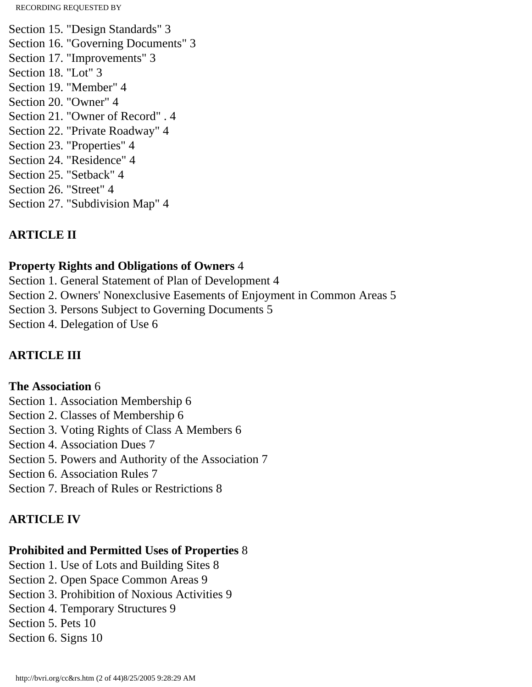Section 15. "Design Standards" 3 Section 16. "Governing Documents" 3 Section 17. "Improvements" 3 Section 18. "Lot" 3 Section 19. "Member" 4 Section 20. "Owner" 4 Section 21. "Owner of Record" . 4 Section 22. "Private Roadway" 4 Section 23. "Properties" 4 Section 24. "Residence" 4 Section 25. "Setback" 4 Section 26. "Street" 4 Section 27. "Subdivision Map" 4

# **ARTICLE II**

## **Property Rights and Obligations of Owners** 4

Section 1. General Statement of Plan of Development 4 Section 2. Owners' Nonexclusive Easements of Enjoyment in Common Areas 5 Section 3. Persons Subject to Governing Documents 5 Section 4. Delegation of Use 6

## **ARTICLE III**

### **The Association** 6

Section 1. Association Membership 6 Section 2. Classes of Membership 6 Section 3. Voting Rights of Class A Members 6 Section 4. Association Dues 7 Section 5. Powers and Authority of the Association 7 Section 6. Association Rules 7 Section 7. Breach of Rules or Restrictions 8

# **ARTICLE IV**

# **Prohibited and Permitted Uses of Properties** 8

Section 1. Use of Lots and Building Sites 8 Section 2. Open Space Common Areas 9 Section 3. Prohibition of Noxious Activities 9 Section 4. Temporary Structures 9 Section 5. Pets 10 Section 6. Signs 10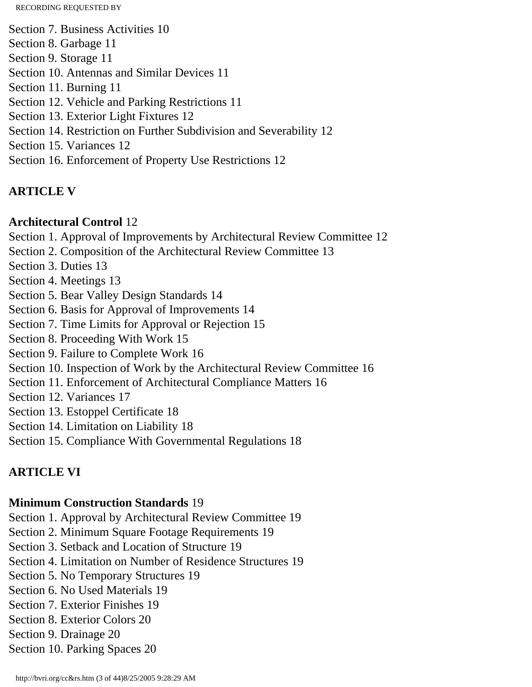Section 7. Business Activities 10

- Section 8. Garbage 11
- Section 9. Storage 11
- Section 10. Antennas and Similar Devices 11
- Section 11. Burning 11
- Section 12. Vehicle and Parking Restrictions 11
- Section 13. Exterior Light Fixtures 12
- Section 14. Restriction on Further Subdivision and Severability 12
- Section 15. Variances 12
- Section 16. Enforcement of Property Use Restrictions 12

# **ARTICLE V**

## **Architectural Control** 12

Section 1. Approval of Improvements by Architectural Review Committee 12

- Section 2. Composition of the Architectural Review Committee 13
- Section 3. Duties 13
- Section 4. Meetings 13
- Section 5. Bear Valley Design Standards 14
- Section 6. Basis for Approval of Improvements 14
- Section 7. Time Limits for Approval or Rejection 15
- Section 8. Proceeding With Work 15
- Section 9. Failure to Complete Work 16
- Section 10. Inspection of Work by the Architectural Review Committee 16
- Section 11. Enforcement of Architectural Compliance Matters 16
- Section 12. Variances 17
- Section 13. Estoppel Certificate 18
- Section 14. Limitation on Liability 18
- Section 15. Compliance With Governmental Regulations 18

# **ARTICLE VI**

# **Minimum Construction Standards** 19

Section 1. Approval by Architectural Review Committee 19

- Section 2. Minimum Square Footage Requirements 19
- Section 3. Setback and Location of Structure 19
- Section 4. Limitation on Number of Residence Structures 19
- Section 5. No Temporary Structures 19
- Section 6. No Used Materials 19
- Section 7. Exterior Finishes 19
- Section 8. Exterior Colors 20
- Section 9. Drainage 20
- Section 10. Parking Spaces 20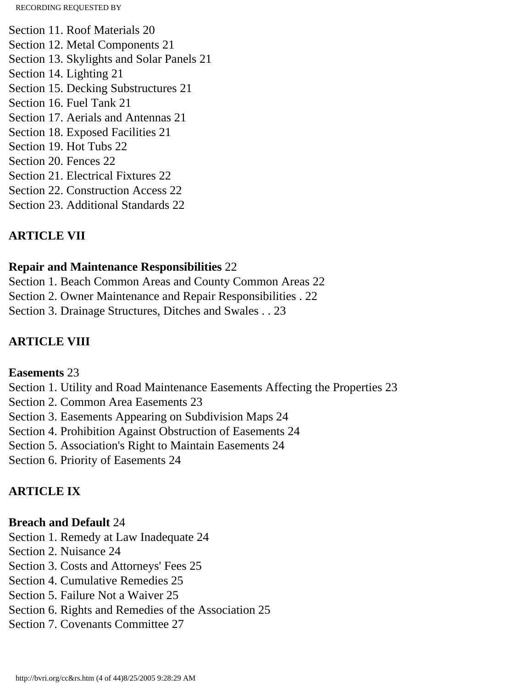Section 11. Roof Materials 20 Section 12. Metal Components 21 Section 13. Skylights and Solar Panels 21 Section 14. Lighting 21 Section 15. Decking Substructures 21 Section 16. Fuel Tank 21 Section 17. Aerials and Antennas 21 Section 18. Exposed Facilities 21 Section 19. Hot Tubs 22 Section 20. Fences 22 Section 21. Electrical Fixtures 22 Section 22. Construction Access 22 Section 23. Additional Standards 22

## **ARTICLE VII**

### **Repair and Maintenance Responsibilities** 22

Section 1. Beach Common Areas and County Common Areas 22 Section 2. Owner Maintenance and Repair Responsibilities . 22 Section 3. Drainage Structures, Ditches and Swales . . 23

## **ARTICLE VIII**

### **Easements** 23

Section 1. Utility and Road Maintenance Easements Affecting the Properties 23 Section 2. Common Area Easements 23 Section 3. Easements Appearing on Subdivision Maps 24 Section 4. Prohibition Against Obstruction of Easements 24 Section 5. Association's Right to Maintain Easements 24 Section 6. Priority of Easements 24

# **ARTICLE IX**

## **Breach and Default** 24

Section 1. Remedy at Law Inadequate 24

- Section 2. Nuisance 24
- Section 3. Costs and Attorneys' Fees 25
- Section 4. Cumulative Remedies 25
- Section 5. Failure Not a Waiver 25
- Section 6. Rights and Remedies of the Association 25
- Section 7. Covenants Committee 27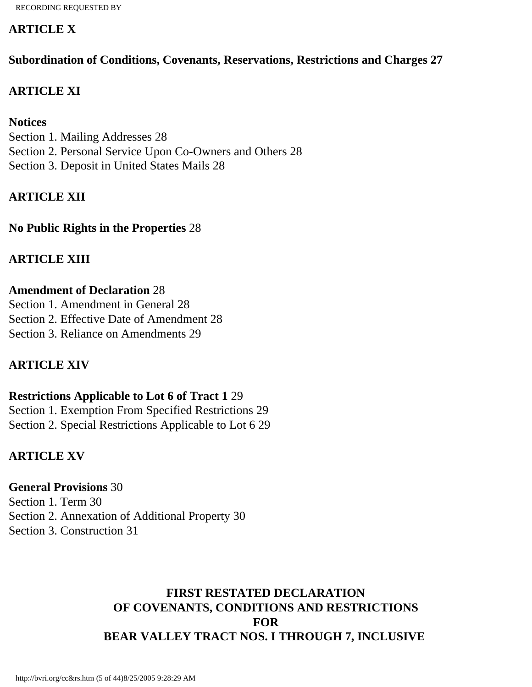### **ARTICLE X**

**Subordination of Conditions, Covenants, Reservations, Restrictions and Charges 27**

## **ARTICLE XI**

### **Notices**

Section 1. Mailing Addresses 28 Section 2. Personal Service Upon Co-Owners and Others 28 Section 3. Deposit in United States Mails 28

# **ARTICLE XII**

**No Public Rights in the Properties** 28

## **ARTICLE XIII**

### **Amendment of Declaration** 28

Section 1. Amendment in General 28 Section 2. Effective Date of Amendment 28 Section 3. Reliance on Amendments 29

## **ARTICLE XIV**

## **Restrictions Applicable to Lot 6 of Tract 1** 29 Section 1. Exemption From Specified Restrictions 29 Section 2. Special Restrictions Applicable to Lot 6 29

### **ARTICLE XV**

**General Provisions** 30 Section 1. Term 30 Section 2. Annexation of Additional Property 30 Section 3. Construction 31

## **FIRST RESTATED DECLARATION OF COVENANTS, CONDITIONS AND RESTRICTIONS FOR BEAR VALLEY TRACT NOS. I THROUGH 7, INCLUSIVE**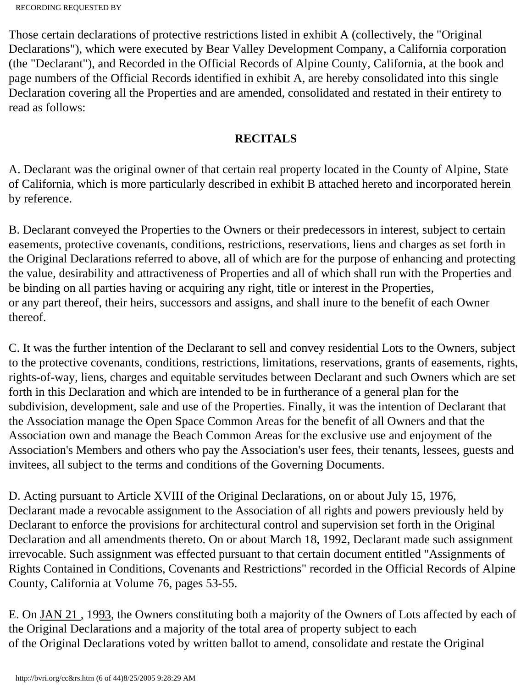```
RECORDING REQUESTED BY
```
Those certain declarations of protective restrictions listed in exhibit A (collectively, the "Original Declarations"), which were executed by Bear Valley Development Company, a California corporation (the "Declarant"), and Recorded in the Official Records of Alpine County, California, at the book and page numbers of the Official Records identified in exhibit A, are hereby consolidated into this single Declaration covering all the Properties and are amended, consolidated and restated in their entirety to read as follows:

## **RECITALS**

A. Declarant was the original owner of that certain real property located in the County of Alpine, State of California, which is more particularly described in exhibit B attached hereto and incorporated herein by reference.

B. Declarant conveyed the Properties to the Owners or their predecessors in interest, subject to certain easements, protective covenants, conditions, restrictions, reservations, liens and charges as set forth in the Original Declarations referred to above, all of which are for the purpose of enhancing and protecting the value, desirability and attractiveness of Properties and all of which shall run with the Properties and be binding on all parties having or acquiring any right, title or interest in the Properties, or any part thereof, their heirs, successors and assigns, and shall inure to the benefit of each Owner thereof.

C. It was the further intention of the Declarant to sell and convey residential Lots to the Owners, subject to the protective covenants, conditions, restrictions, limitations, reservations, grants of easements, rights, rights-of-way, liens, charges and equitable servitudes between Declarant and such Owners which are set forth in this Declaration and which are intended to be in furtherance of a general plan for the subdivision, development, sale and use of the Properties. Finally, it was the intention of Declarant that the Association manage the Open Space Common Areas for the benefit of all Owners and that the Association own and manage the Beach Common Areas for the exclusive use and enjoyment of the Association's Members and others who pay the Association's user fees, their tenants, lessees, guests and invitees, all subject to the terms and conditions of the Governing Documents.

D. Acting pursuant to Article XVIII of the Original Declarations, on or about July 15, 1976, Declarant made a revocable assignment to the Association of all rights and powers previously held by Declarant to enforce the provisions for architectural control and supervision set forth in the Original Declaration and all amendments thereto. On or about March 18, 1992, Declarant made such assignment irrevocable. Such assignment was effected pursuant to that certain document entitled "Assignments of Rights Contained in Conditions, Covenants and Restrictions" recorded in the Official Records of Alpine County, California at Volume 76, pages 53-55.

E. On JAN 21 , 1993, the Owners constituting both a majority of the Owners of Lots affected by each of the Original Declarations and a majority of the total area of property subject to each of the Original Declarations voted by written ballot to amend, consolidate and restate the Original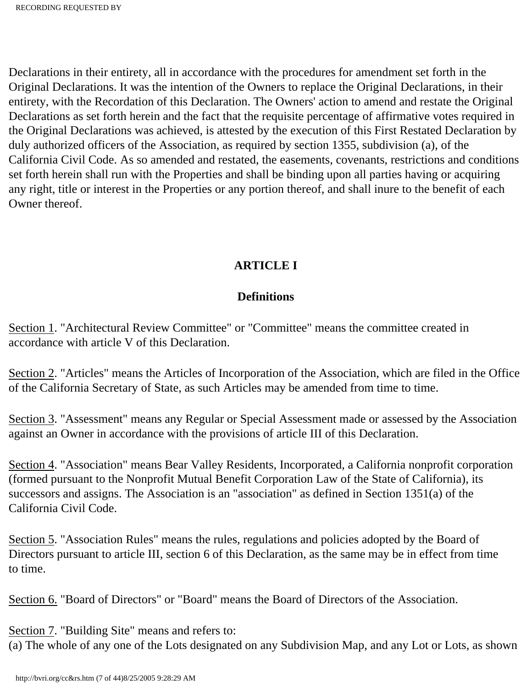Declarations in their entirety, all in accordance with the procedures for amendment set forth in the Original Declarations. It was the intention of the Owners to replace the Original Declarations, in their entirety, with the Recordation of this Declaration. The Owners' action to amend and restate the Original Declarations as set forth herein and the fact that the requisite percentage of affirmative votes required in the Original Declarations was achieved, is attested by the execution of this First Restated Declaration by duly authorized officers of the Association, as required by section 1355, subdivision (a), of the California Civil Code. As so amended and restated, the easements, covenants, restrictions and conditions set forth herein shall run with the Properties and shall be binding upon all parties having or acquiring any right, title or interest in the Properties or any portion thereof, and shall inure to the benefit of each Owner thereof.

# **ARTICLE I**

## **Definitions**

Section 1. "Architectural Review Committee" or "Committee" means the committee created in accordance with article V of this Declaration.

Section 2. "Articles" means the Articles of Incorporation of the Association, which are filed in the Office of the California Secretary of State, as such Articles may be amended from time to time.

Section 3. "Assessment" means any Regular or Special Assessment made or assessed by the Association against an Owner in accordance with the provisions of article III of this Declaration.

Section 4. "Association" means Bear Valley Residents, Incorporated, a California nonprofit corporation (formed pursuant to the Nonprofit Mutual Benefit Corporation Law of the State of California), its successors and assigns. The Association is an "association" as defined in Section 1351(a) of the California Civil Code.

Section 5. "Association Rules" means the rules, regulations and policies adopted by the Board of Directors pursuant to article III, section 6 of this Declaration, as the same may be in effect from time to time.

Section 6. "Board of Directors" or "Board" means the Board of Directors of the Association.

Section 7. "Building Site" means and refers to:

(a) The whole of any one of the Lots designated on any Subdivision Map, and any Lot or Lots, as shown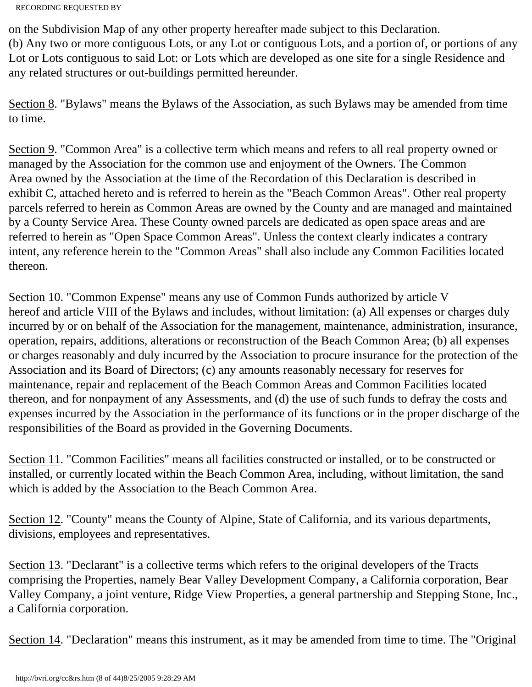on the Subdivision Map of any other property hereafter made subject to this Declaration. (b) Any two or more contiguous Lots, or any Lot or contiguous Lots, and a portion of, or portions of any Lot or Lots contiguous to said Lot: or Lots which are developed as one site for a single Residence and any related structures or out-buildings permitted hereunder.

Section 8. "Bylaws" means the Bylaws of the Association, as such Bylaws may be amended from time to time.

Section 9. "Common Area" is a collective term which means and refers to all real property owned or managed by the Association for the common use and enjoyment of the Owners. The Common Area owned by the Association at the time of the Recordation of this Declaration is described in exhibit C, attached hereto and is referred to herein as the "Beach Common Areas". Other real property parcels referred to herein as Common Areas are owned by the County and are managed and maintained by a County Service Area. These County owned parcels are dedicated as open space areas and are referred to herein as "Open Space Common Areas". Unless the context clearly indicates a contrary intent, any reference herein to the "Common Areas" shall also include any Common Facilities located thereon.

Section 10. "Common Expense" means any use of Common Funds authorized by article V hereof and article VIII of the Bylaws and includes, without limitation: (a) All expenses or charges duly incurred by or on behalf of the Association for the management, maintenance, administration, insurance, operation, repairs, additions, alterations or reconstruction of the Beach Common Area; (b) all expenses or charges reasonably and duly incurred by the Association to procure insurance for the protection of the Association and its Board of Directors; (c) any amounts reasonably necessary for reserves for maintenance, repair and replacement of the Beach Common Areas and Common Facilities located thereon, and for nonpayment of any Assessments, and (d) the use of such funds to defray the costs and expenses incurred by the Association in the performance of its functions or in the proper discharge of the responsibilities of the Board as provided in the Governing Documents.

Section 11. "Common Facilities" means all facilities constructed or installed, or to be constructed or installed, or currently located within the Beach Common Area, including, without limitation, the sand which is added by the Association to the Beach Common Area.

Section 12. "County" means the County of Alpine, State of California, and its various departments, divisions, employees and representatives.

Section 13. "Declarant" is a collective terms which refers to the original developers of the Tracts comprising the Properties, namely Bear Valley Development Company, a California corporation, Bear Valley Company, a joint venture, Ridge View Properties, a general partnership and Stepping Stone, Inc., a California corporation.

Section 14. "Declaration" means this instrument, as it may be amended from time to time. The "Original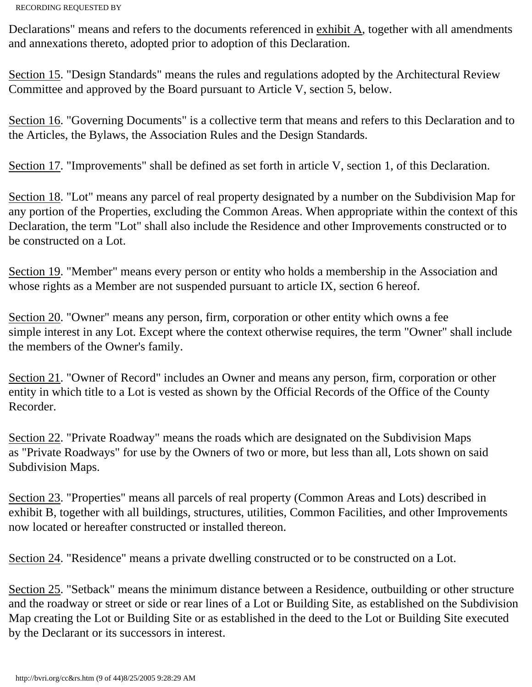Declarations" means and refers to the documents referenced in exhibit A, together with all amendments and annexations thereto, adopted prior to adoption of this Declaration.

Section 15. "Design Standards" means the rules and regulations adopted by the Architectural Review Committee and approved by the Board pursuant to Article V, section 5, below.

Section 16. "Governing Documents" is a collective term that means and refers to this Declaration and to the Articles, the Bylaws, the Association Rules and the Design Standards.

Section 17. "Improvements" shall be defined as set forth in article V, section 1, of this Declaration.

Section 18. "Lot" means any parcel of real property designated by a number on the Subdivision Map for any portion of the Properties, excluding the Common Areas. When appropriate within the context of this Declaration, the term "Lot" shall also include the Residence and other Improvements constructed or to be constructed on a Lot.

Section 19. "Member" means every person or entity who holds a membership in the Association and whose rights as a Member are not suspended pursuant to article IX, section 6 hereof.

Section 20. "Owner" means any person, firm, corporation or other entity which owns a fee simple interest in any Lot. Except where the context otherwise requires, the term "Owner" shall include the members of the Owner's family.

Section 21. "Owner of Record" includes an Owner and means any person, firm, corporation or other entity in which title to a Lot is vested as shown by the Official Records of the Office of the County Recorder.

Section 22. "Private Roadway" means the roads which are designated on the Subdivision Maps as "Private Roadways" for use by the Owners of two or more, but less than all, Lots shown on said Subdivision Maps.

Section 23. "Properties" means all parcels of real property (Common Areas and Lots) described in exhibit B, together with all buildings, structures, utilities, Common Facilities, and other Improvements now located or hereafter constructed or installed thereon.

Section 24. "Residence" means a private dwelling constructed or to be constructed on a Lot.

Section 25. "Setback" means the minimum distance between a Residence, outbuilding or other structure and the roadway or street or side or rear lines of a Lot or Building Site, as established on the Subdivision Map creating the Lot or Building Site or as established in the deed to the Lot or Building Site executed by the Declarant or its successors in interest.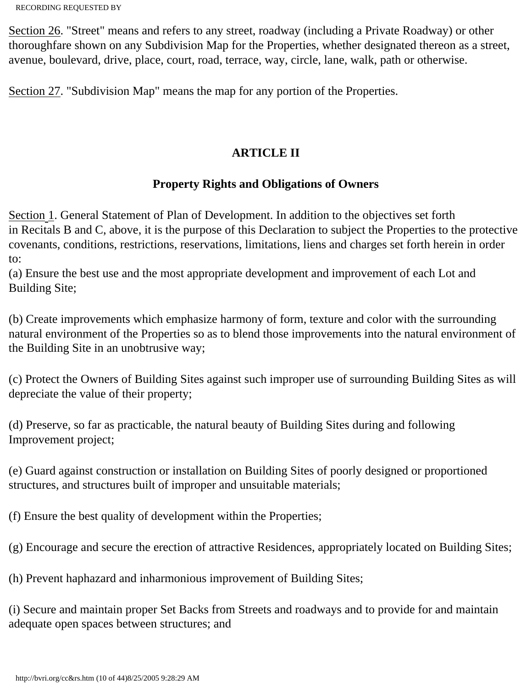Section 26. "Street" means and refers to any street, roadway (including a Private Roadway) or other thoroughfare shown on any Subdivision Map for the Properties, whether designated thereon as a street, avenue, boulevard, drive, place, court, road, terrace, way, circle, lane, walk, path or otherwise.

Section 27. "Subdivision Map" means the map for any portion of the Properties.

## **ARTICLE II**

### **Property Rights and Obligations of Owners**

Section 1. General Statement of Plan of Development. In addition to the objectives set forth in Recitals B and C, above, it is the purpose of this Declaration to subject the Properties to the protective covenants, conditions, restrictions, reservations, limitations, liens and charges set forth herein in order to:

(a) Ensure the best use and the most appropriate development and improvement of each Lot and Building Site;

(b) Create improvements which emphasize harmony of form, texture and color with the surrounding natural environment of the Properties so as to blend those improvements into the natural environment of the Building Site in an unobtrusive way;

(c) Protect the Owners of Building Sites against such improper use of surrounding Building Sites as will depreciate the value of their property;

(d) Preserve, so far as practicable, the natural beauty of Building Sites during and following Improvement project;

(e) Guard against construction or installation on Building Sites of poorly designed or proportioned structures, and structures built of improper and unsuitable materials;

(f) Ensure the best quality of development within the Properties;

(g) Encourage and secure the erection of attractive Residences, appropriately located on Building Sites;

(h) Prevent haphazard and inharmonious improvement of Building Sites;

(i) Secure and maintain proper Set Backs from Streets and roadways and to provide for and maintain adequate open spaces between structures; and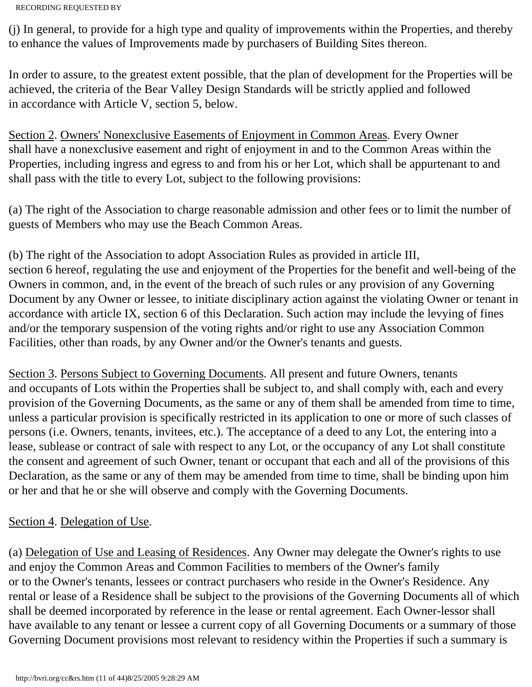(j) In general, to provide for a high type and quality of improvements within the Properties, and thereby to enhance the values of Improvements made by purchasers of Building Sites thereon.

In order to assure, to the greatest extent possible, that the plan of development for the Properties will be achieved, the criteria of the Bear Valley Design Standards will be strictly applied and followed in accordance with Article V, section 5, below.

Section 2. Owners' Nonexclusive Easements of Enjoyment in Common Areas. Every Owner shall have a nonexclusive easement and right of enjoyment in and to the Common Areas within the Properties, including ingress and egress to and from his or her Lot, which shall be appurtenant to and shall pass with the title to every Lot, subject to the following provisions:

(a) The right of the Association to charge reasonable admission and other fees or to limit the number of guests of Members who may use the Beach Common Areas.

(b) The right of the Association to adopt Association Rules as provided in article III, section 6 hereof, regulating the use and enjoyment of the Properties for the benefit and well-being of the Owners in common, and, in the event of the breach of such rules or any provision of any Governing Document by any Owner or lessee, to initiate disciplinary action against the violating Owner or tenant in accordance with article IX, section 6 of this Declaration. Such action may include the levying of fines and/or the temporary suspension of the voting rights and/or right to use any Association Common Facilities, other than roads, by any Owner and/or the Owner's tenants and guests.

Section 3. Persons Subject to Governing Documents. All present and future Owners, tenants and occupants of Lots within the Properties shall be subject to, and shall comply with, each and every provision of the Governing Documents, as the same or any of them shall be amended from time to time, unless a particular provision is specifically restricted in its application to one or more of such classes of persons (i.e. Owners, tenants, invitees, etc.). The acceptance of a deed to any Lot, the entering into a lease, sublease or contract of sale with respect to any Lot, or the occupancy of any Lot shall constitute the consent and agreement of such Owner, tenant or occupant that each and all of the provisions of this Declaration, as the same or any of them may be amended from time to time, shall be binding upon him or her and that he or she will observe and comply with the Governing Documents.

### Section 4. Delegation of Use.

(a) Delegation of Use and Leasing of Residences. Any Owner may delegate the Owner's rights to use and enjoy the Common Areas and Common Facilities to members of the Owner's family or to the Owner's tenants, lessees or contract purchasers who reside in the Owner's Residence. Any rental or lease of a Residence shall be subject to the provisions of the Governing Documents all of which shall be deemed incorporated by reference in the lease or rental agreement. Each Owner-lessor shall have available to any tenant or lessee a current copy of all Governing Documents or a summary of those Governing Document provisions most relevant to residency within the Properties if such a summary is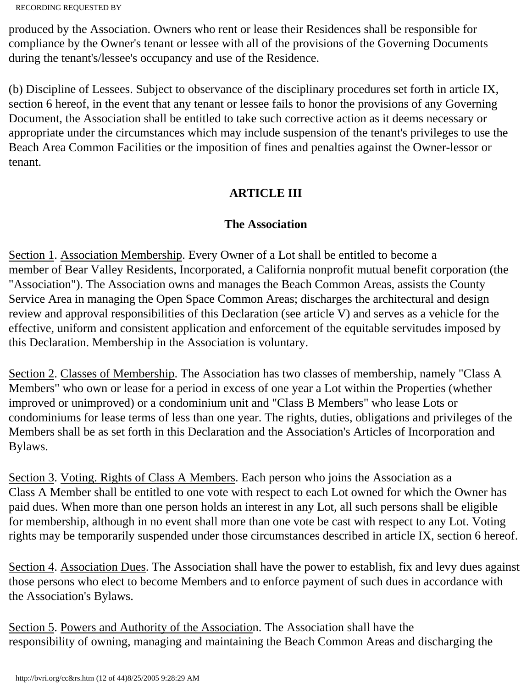produced by the Association. Owners who rent or lease their Residences shall be responsible for compliance by the Owner's tenant or lessee with all of the provisions of the Governing Documents during the tenant's/lessee's occupancy and use of the Residence.

(b) Discipline of Lessees. Subject to observance of the disciplinary procedures set forth in article IX, section 6 hereof, in the event that any tenant or lessee fails to honor the provisions of any Governing Document, the Association shall be entitled to take such corrective action as it deems necessary or appropriate under the circumstances which may include suspension of the tenant's privileges to use the Beach Area Common Facilities or the imposition of fines and penalties against the Owner-lessor or tenant.

## **ARTICLE III**

## **The Association**

Section 1. Association Membership. Every Owner of a Lot shall be entitled to become a member of Bear Valley Residents, Incorporated, a California nonprofit mutual benefit corporation (the "Association"). The Association owns and manages the Beach Common Areas, assists the County Service Area in managing the Open Space Common Areas; discharges the architectural and design review and approval responsibilities of this Declaration (see article V) and serves as a vehicle for the effective, uniform and consistent application and enforcement of the equitable servitudes imposed by this Declaration. Membership in the Association is voluntary.

Section 2. Classes of Membership. The Association has two classes of membership, namely "Class A Members" who own or lease for a period in excess of one year a Lot within the Properties (whether improved or unimproved) or a condominium unit and "Class B Members" who lease Lots or condominiums for lease terms of less than one year. The rights, duties, obligations and privileges of the Members shall be as set forth in this Declaration and the Association's Articles of Incorporation and Bylaws.

Section 3. Voting. Rights of Class A Members. Each person who joins the Association as a Class A Member shall be entitled to one vote with respect to each Lot owned for which the Owner has paid dues. When more than one person holds an interest in any Lot, all such persons shall be eligible for membership, although in no event shall more than one vote be cast with respect to any Lot. Voting rights may be temporarily suspended under those circumstances described in article IX, section 6 hereof.

Section 4. Association Dues. The Association shall have the power to establish, fix and levy dues against those persons who elect to become Members and to enforce payment of such dues in accordance with the Association's Bylaws.

Section 5. Powers and Authority of the Association. The Association shall have the responsibility of owning, managing and maintaining the Beach Common Areas and discharging the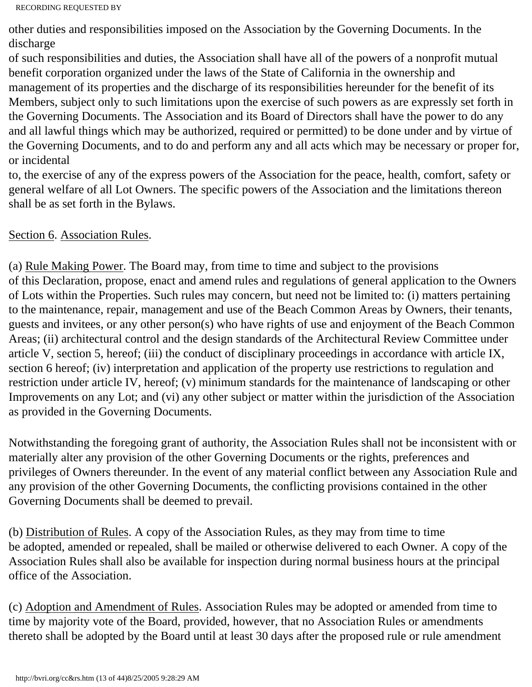other duties and responsibilities imposed on the Association by the Governing Documents. In the discharge

of such responsibilities and duties, the Association shall have all of the powers of a nonprofit mutual benefit corporation organized under the laws of the State of California in the ownership and management of its properties and the discharge of its responsibilities hereunder for the benefit of its Members, subject only to such limitations upon the exercise of such powers as are expressly set forth in the Governing Documents. The Association and its Board of Directors shall have the power to do any and all lawful things which may be authorized, required or permitted) to be done under and by virtue of the Governing Documents, and to do and perform any and all acts which may be necessary or proper for, or incidental

to, the exercise of any of the express powers of the Association for the peace, health, comfort, safety or general welfare of all Lot Owners. The specific powers of the Association and the limitations thereon shall be as set forth in the Bylaws.

### Section 6. Association Rules.

(a) Rule Making Power. The Board may, from time to time and subject to the provisions of this Declaration, propose, enact and amend rules and regulations of general application to the Owners of Lots within the Properties. Such rules may concern, but need not be limited to: (i) matters pertaining to the maintenance, repair, management and use of the Beach Common Areas by Owners, their tenants, guests and invitees, or any other person(s) who have rights of use and enjoyment of the Beach Common Areas; (ii) architectural control and the design standards of the Architectural Review Committee under article V, section 5, hereof; (iii) the conduct of disciplinary proceedings in accordance with article IX, section 6 hereof; (iv) interpretation and application of the property use restrictions to regulation and restriction under article IV, hereof; (v) minimum standards for the maintenance of landscaping or other Improvements on any Lot; and (vi) any other subject or matter within the jurisdiction of the Association as provided in the Governing Documents.

Notwithstanding the foregoing grant of authority, the Association Rules shall not be inconsistent with or materially alter any provision of the other Governing Documents or the rights, preferences and privileges of Owners thereunder. In the event of any material conflict between any Association Rule and any provision of the other Governing Documents, the conflicting provisions contained in the other Governing Documents shall be deemed to prevail.

(b) Distribution of Rules. A copy of the Association Rules, as they may from time to time be adopted, amended or repealed, shall be mailed or otherwise delivered to each Owner. A copy of the Association Rules shall also be available for inspection during normal business hours at the principal office of the Association.

(c) Adoption and Amendment of Rules. Association Rules may be adopted or amended from time to time by majority vote of the Board, provided, however, that no Association Rules or amendments thereto shall be adopted by the Board until at least 30 days after the proposed rule or rule amendment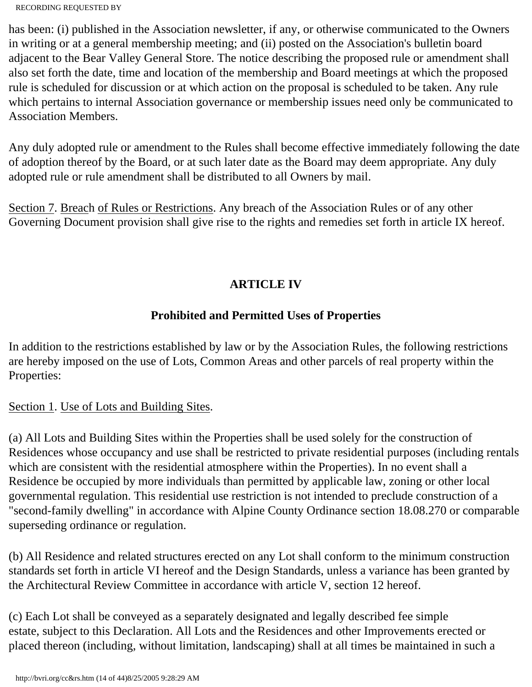has been: (i) published in the Association newsletter, if any, or otherwise communicated to the Owners in writing or at a general membership meeting; and (ii) posted on the Association's bulletin board adjacent to the Bear Valley General Store. The notice describing the proposed rule or amendment shall also set forth the date, time and location of the membership and Board meetings at which the proposed rule is scheduled for discussion or at which action on the proposal is scheduled to be taken. Any rule which pertains to internal Association governance or membership issues need only be communicated to Association Members.

Any duly adopted rule or amendment to the Rules shall become effective immediately following the date of adoption thereof by the Board, or at such later date as the Board may deem appropriate. Any duly adopted rule or rule amendment shall be distributed to all Owners by mail.

Section 7. Breach of Rules or Restrictions. Any breach of the Association Rules or of any other Governing Document provision shall give rise to the rights and remedies set forth in article IX hereof.

# **ARTICLE IV**

# **Prohibited and Permitted Uses of Properties**

In addition to the restrictions established by law or by the Association Rules, the following restrictions are hereby imposed on the use of Lots, Common Areas and other parcels of real property within the Properties:

Section 1. Use of Lots and Building Sites.

(a) All Lots and Building Sites within the Properties shall be used solely for the construction of Residences whose occupancy and use shall be restricted to private residential purposes (including rentals which are consistent with the residential atmosphere within the Properties). In no event shall a Residence be occupied by more individuals than permitted by applicable law, zoning or other local governmental regulation. This residential use restriction is not intended to preclude construction of a "second-family dwelling" in accordance with Alpine County Ordinance section 18.08.270 or comparable superseding ordinance or regulation.

(b) All Residence and related structures erected on any Lot shall conform to the minimum construction standards set forth in article VI hereof and the Design Standards, unless a variance has been granted by the Architectural Review Committee in accordance with article V, section 12 hereof.

(c) Each Lot shall be conveyed as a separately designated and legally described fee simple estate, subject to this Declaration. All Lots and the Residences and other Improvements erected or placed thereon (including, without limitation, landscaping) shall at all times be maintained in such a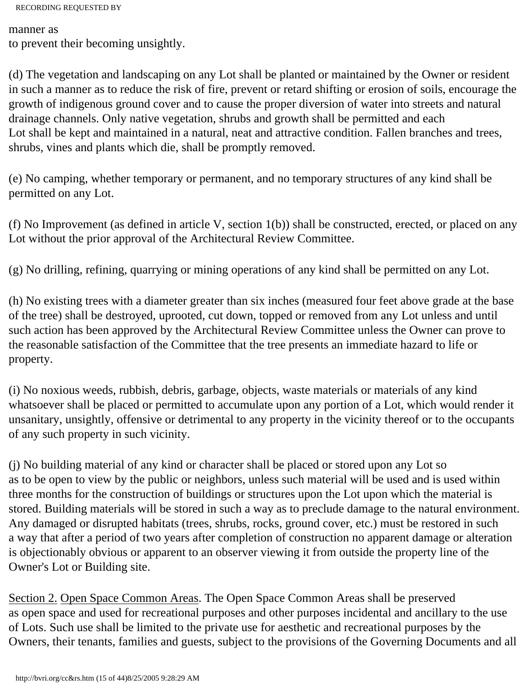manner as to prevent their becoming unsightly.

(d) The vegetation and landscaping on any Lot shall be planted or maintained by the Owner or resident in such a manner as to reduce the risk of fire, prevent or retard shifting or erosion of soils, encourage the growth of indigenous ground cover and to cause the proper diversion of water into streets and natural drainage channels. Only native vegetation, shrubs and growth shall be permitted and each Lot shall be kept and maintained in a natural, neat and attractive condition. Fallen branches and trees, shrubs, vines and plants which die, shall be promptly removed.

(e) No camping, whether temporary or permanent, and no temporary structures of any kind shall be permitted on any Lot.

(f) No Improvement (as defined in article V, section 1(b)) shall be constructed, erected, or placed on any Lot without the prior approval of the Architectural Review Committee.

(g) No drilling, refining, quarrying or mining operations of any kind shall be permitted on any Lot.

(h) No existing trees with a diameter greater than six inches (measured four feet above grade at the base of the tree) shall be destroyed, uprooted, cut down, topped or removed from any Lot unless and until such action has been approved by the Architectural Review Committee unless the Owner can prove to the reasonable satisfaction of the Committee that the tree presents an immediate hazard to life or property.

(i) No noxious weeds, rubbish, debris, garbage, objects, waste materials or materials of any kind whatsoever shall be placed or permitted to accumulate upon any portion of a Lot, which would render it unsanitary, unsightly, offensive or detrimental to any property in the vicinity thereof or to the occupants of any such property in such vicinity.

(j) No building material of any kind or character shall be placed or stored upon any Lot so as to be open to view by the public or neighbors, unless such material will be used and is used within three months for the construction of buildings or structures upon the Lot upon which the material is stored. Building materials will be stored in such a way as to preclude damage to the natural environment. Any damaged or disrupted habitats (trees, shrubs, rocks, ground cover, etc.) must be restored in such a way that after a period of two years after completion of construction no apparent damage or alteration is objectionably obvious or apparent to an observer viewing it from outside the property line of the Owner's Lot or Building site.

Section 2. Open Space Common Areas. The Open Space Common Areas shall be preserved as open space and used for recreational purposes and other purposes incidental and ancillary to the use of Lots. Such use shall be limited to the private use for aesthetic and recreational purposes by the Owners, their tenants, families and guests, subject to the provisions of the Governing Documents and all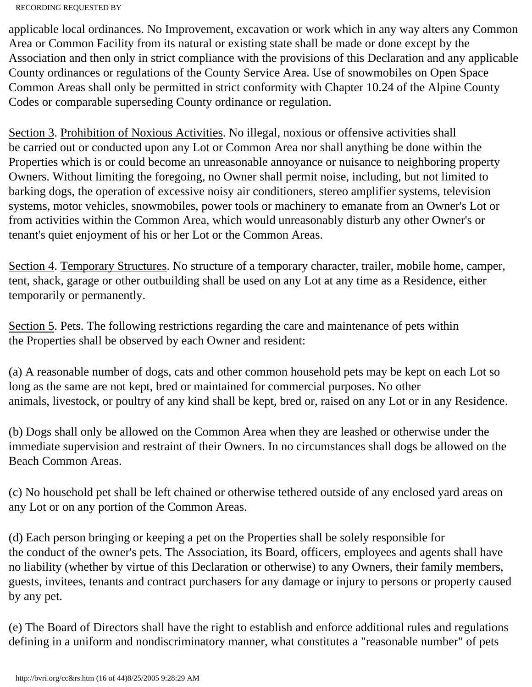applicable local ordinances. No Improvement, excavation or work which in any way alters any Common Area or Common Facility from its natural or existing state shall be made or done except by the Association and then only in strict compliance with the provisions of this Declaration and any applicable County ordinances or regulations of the County Service Area. Use of snowmobiles on Open Space Common Areas shall only be permitted in strict conformity with Chapter 10.24 of the Alpine County Codes or comparable superseding County ordinance or regulation.

Section 3. Prohibition of Noxious Activities. No illegal, noxious or offensive activities shall be carried out or conducted upon any Lot or Common Area nor shall anything be done within the Properties which is or could become an unreasonable annoyance or nuisance to neighboring property Owners. Without limiting the foregoing, no Owner shall permit noise, including, but not limited to barking dogs, the operation of excessive noisy air conditioners, stereo amplifier systems, television systems, motor vehicles, snowmobiles, power tools or machinery to emanate from an Owner's Lot or from activities within the Common Area, which would unreasonably disturb any other Owner's or tenant's quiet enjoyment of his or her Lot or the Common Areas.

Section 4. Temporary Structures. No structure of a temporary character, trailer, mobile home, camper, tent, shack, garage or other outbuilding shall be used on any Lot at any time as a Residence, either temporarily or permanently.

Section 5. Pets. The following restrictions regarding the care and maintenance of pets within the Properties shall be observed by each Owner and resident:

(a) A reasonable number of dogs, cats and other common household pets may be kept on each Lot so long as the same are not kept, bred or maintained for commercial purposes. No other animals, livestock, or poultry of any kind shall be kept, bred or, raised on any Lot or in any Residence.

(b) Dogs shall only be allowed on the Common Area when they are leashed or otherwise under the immediate supervision and restraint of their Owners. In no circumstances shall dogs be allowed on the Beach Common Areas.

(c) No household pet shall be left chained or otherwise tethered outside of any enclosed yard areas on any Lot or on any portion of the Common Areas.

(d) Each person bringing or keeping a pet on the Properties shall be solely responsible for the conduct of the owner's pets. The Association, its Board, officers, employees and agents shall have no liability (whether by virtue of this Declaration or otherwise) to any Owners, their family members, guests, invitees, tenants and contract purchasers for any damage or injury to persons or property caused by any pet.

(e) The Board of Directors shall have the right to establish and enforce additional rules and regulations defining in a uniform and nondiscriminatory manner, what constitutes a "reasonable number" of pets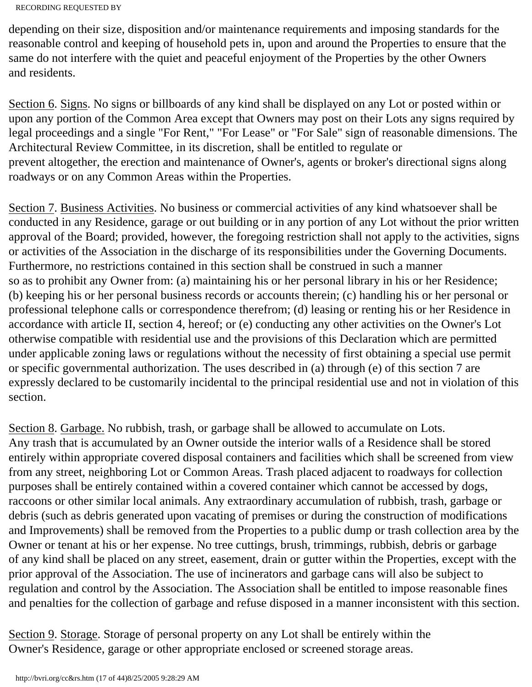depending on their size, disposition and/or maintenance requirements and imposing standards for the reasonable control and keeping of household pets in, upon and around the Properties to ensure that the same do not interfere with the quiet and peaceful enjoyment of the Properties by the other Owners and residents.

Section 6. Signs. No signs or billboards of any kind shall be displayed on any Lot or posted within or upon any portion of the Common Area except that Owners may post on their Lots any signs required by legal proceedings and a single "For Rent," "For Lease" or "For Sale" sign of reasonable dimensions. The Architectural Review Committee, in its discretion, shall be entitled to regulate or prevent altogether, the erection and maintenance of Owner's, agents or broker's directional signs along roadways or on any Common Areas within the Properties.

Section 7. Business Activities. No business or commercial activities of any kind whatsoever shall be conducted in any Residence, garage or out building or in any portion of any Lot without the prior written approval of the Board; provided, however, the foregoing restriction shall not apply to the activities, signs or activities of the Association in the discharge of its responsibilities under the Governing Documents. Furthermore, no restrictions contained in this section shall be construed in such a manner so as to prohibit any Owner from: (a) maintaining his or her personal library in his or her Residence; (b) keeping his or her personal business records or accounts therein; (c) handling his or her personal or professional telephone calls or correspondence therefrom; (d) leasing or renting his or her Residence in accordance with article II, section 4, hereof; or (e) conducting any other activities on the Owner's Lot otherwise compatible with residential use and the provisions of this Declaration which are permitted under applicable zoning laws or regulations without the necessity of first obtaining a special use permit or specific governmental authorization. The uses described in (a) through (e) of this section 7 are expressly declared to be customarily incidental to the principal residential use and not in violation of this section.

Section 8. Garbage. No rubbish, trash, or garbage shall be allowed to accumulate on Lots. Any trash that is accumulated by an Owner outside the interior walls of a Residence shall be stored entirely within appropriate covered disposal containers and facilities which shall be screened from view from any street, neighboring Lot or Common Areas. Trash placed adjacent to roadways for collection purposes shall be entirely contained within a covered container which cannot be accessed by dogs, raccoons or other similar local animals. Any extraordinary accumulation of rubbish, trash, garbage or debris (such as debris generated upon vacating of premises or during the construction of modifications and Improvements) shall be removed from the Properties to a public dump or trash collection area by the Owner or tenant at his or her expense. No tree cuttings, brush, trimmings, rubbish, debris or garbage of any kind shall be placed on any street, easement, drain or gutter within the Properties, except with the prior approval of the Association. The use of incinerators and garbage cans will also be subject to regulation and control by the Association. The Association shall be entitled to impose reasonable fines and penalties for the collection of garbage and refuse disposed in a manner inconsistent with this section.

Section 9. Storage. Storage of personal property on any Lot shall be entirely within the Owner's Residence, garage or other appropriate enclosed or screened storage areas.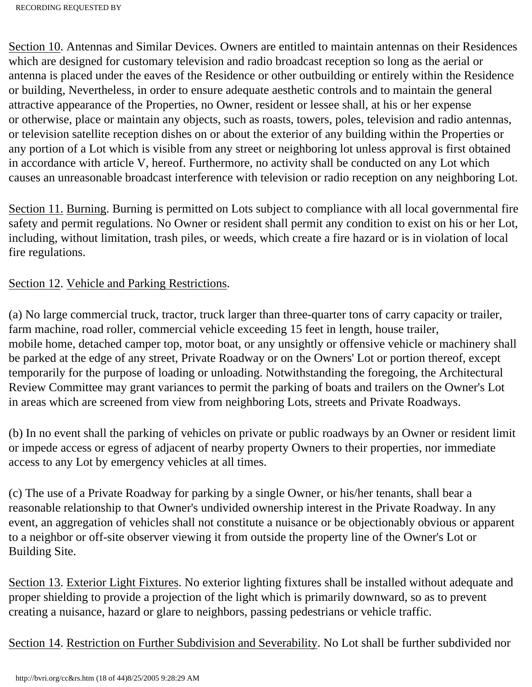Section 10. Antennas and Similar Devices. Owners are entitled to maintain antennas on their Residences which are designed for customary television and radio broadcast reception so long as the aerial or antenna is placed under the eaves of the Residence or other outbuilding or entirely within the Residence or building, Nevertheless, in order to ensure adequate aesthetic controls and to maintain the general attractive appearance of the Properties, no Owner, resident or lessee shall, at his or her expense or otherwise, place or maintain any objects, such as roasts, towers, poles, television and radio antennas, or television satellite reception dishes on or about the exterior of any building within the Properties or any portion of a Lot which is visible from any street or neighboring lot unless approval is first obtained in accordance with article V, hereof. Furthermore, no activity shall be conducted on any Lot which causes an unreasonable broadcast interference with television or radio reception on any neighboring Lot.

Section 11. Burning. Burning is permitted on Lots subject to compliance with all local governmental fire safety and permit regulations. No Owner or resident shall permit any condition to exist on his or her Lot, including, without limitation, trash piles, or weeds, which create a fire hazard or is in violation of local fire regulations.

### Section 12. Vehicle and Parking Restrictions.

(a) No large commercial truck, tractor, truck larger than three-quarter tons of carry capacity or trailer, farm machine, road roller, commercial vehicle exceeding 15 feet in length, house trailer, mobile home, detached camper top, motor boat, or any unsightly or offensive vehicle or machinery shall be parked at the edge of any street, Private Roadway or on the Owners' Lot or portion thereof, except temporarily for the purpose of loading or unloading. Notwithstanding the foregoing, the Architectural Review Committee may grant variances to permit the parking of boats and trailers on the Owner's Lot in areas which are screened from view from neighboring Lots, streets and Private Roadways.

(b) In no event shall the parking of vehicles on private or public roadways by an Owner or resident limit or impede access or egress of adjacent of nearby property Owners to their properties, nor immediate access to any Lot by emergency vehicles at all times.

(c) The use of a Private Roadway for parking by a single Owner, or his/her tenants, shall bear a reasonable relationship to that Owner's undivided ownership interest in the Private Roadway. In any event, an aggregation of vehicles shall not constitute a nuisance or be objectionably obvious or apparent to a neighbor or off-site observer viewing it from outside the property line of the Owner's Lot or Building Site.

Section 13. Exterior Light Fixtures. No exterior lighting fixtures shall be installed without adequate and proper shielding to provide a projection of the light which is primarily downward, so as to prevent creating a nuisance, hazard or glare to neighbors, passing pedestrians or vehicle traffic.

Section 14. Restriction on Further Subdivision and Severability. No Lot shall be further subdivided nor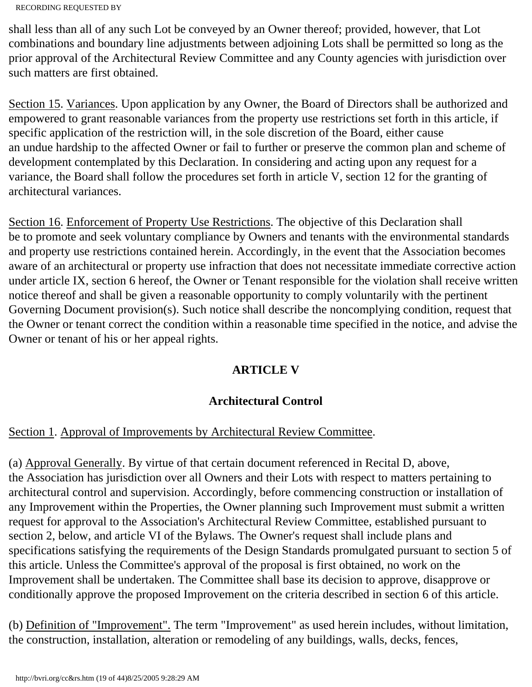shall less than all of any such Lot be conveyed by an Owner thereof; provided, however, that Lot combinations and boundary line adjustments between adjoining Lots shall be permitted so long as the prior approval of the Architectural Review Committee and any County agencies with jurisdiction over such matters are first obtained.

Section 15. Variances. Upon application by any Owner, the Board of Directors shall be authorized and empowered to grant reasonable variances from the property use restrictions set forth in this article, if specific application of the restriction will, in the sole discretion of the Board, either cause an undue hardship to the affected Owner or fail to further or preserve the common plan and scheme of development contemplated by this Declaration. In considering and acting upon any request for a variance, the Board shall follow the procedures set forth in article V, section 12 for the granting of architectural variances.

Section 16. Enforcement of Property Use Restrictions. The objective of this Declaration shall be to promote and seek voluntary compliance by Owners and tenants with the environmental standards and property use restrictions contained herein. Accordingly, in the event that the Association becomes aware of an architectural or property use infraction that does not necessitate immediate corrective action under article IX, section 6 hereof, the Owner or Tenant responsible for the violation shall receive written notice thereof and shall be given a reasonable opportunity to comply voluntarily with the pertinent Governing Document provision(s). Such notice shall describe the noncomplying condition, request that the Owner or tenant correct the condition within a reasonable time specified in the notice, and advise the Owner or tenant of his or her appeal rights.

# **ARTICLE V**

# **Architectural Control**

# Section 1. Approval of Improvements by Architectural Review Committee.

(a) Approval Generally. By virtue of that certain document referenced in Recital D, above, the Association has jurisdiction over all Owners and their Lots with respect to matters pertaining to architectural control and supervision. Accordingly, before commencing construction or installation of any Improvement within the Properties, the Owner planning such Improvement must submit a written request for approval to the Association's Architectural Review Committee, established pursuant to section 2, below, and article VI of the Bylaws. The Owner's request shall include plans and specifications satisfying the requirements of the Design Standards promulgated pursuant to section 5 of this article. Unless the Committee's approval of the proposal is first obtained, no work on the Improvement shall be undertaken. The Committee shall base its decision to approve, disapprove or conditionally approve the proposed Improvement on the criteria described in section 6 of this article.

(b) Definition of "Improvement". The term "Improvement" as used herein includes, without limitation, the construction, installation, alteration or remodeling of any buildings, walls, decks, fences,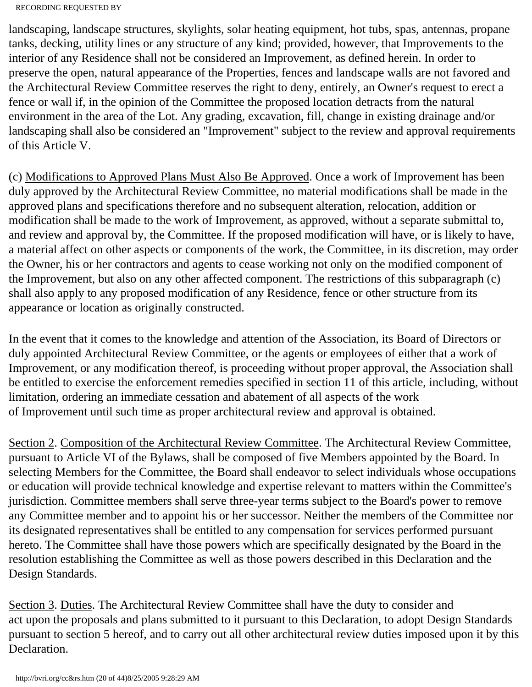landscaping, landscape structures, skylights, solar heating equipment, hot tubs, spas, antennas, propane tanks, decking, utility lines or any structure of any kind; provided, however, that Improvements to the interior of any Residence shall not be considered an Improvement, as defined herein. In order to preserve the open, natural appearance of the Properties, fences and landscape walls are not favored and the Architectural Review Committee reserves the right to deny, entirely, an Owner's request to erect a fence or wall if, in the opinion of the Committee the proposed location detracts from the natural environment in the area of the Lot. Any grading, excavation, fill, change in existing drainage and/or landscaping shall also be considered an "Improvement" subject to the review and approval requirements of this Article V.

(c) Modifications to Approved Plans Must Also Be Approved. Once a work of Improvement has been duly approved by the Architectural Review Committee, no material modifications shall be made in the approved plans and specifications therefore and no subsequent alteration, relocation, addition or modification shall be made to the work of Improvement, as approved, without a separate submittal to, and review and approval by, the Committee. If the proposed modification will have, or is likely to have, a material affect on other aspects or components of the work, the Committee, in its discretion, may order the Owner, his or her contractors and agents to cease working not only on the modified component of the Improvement, but also on any other affected component. The restrictions of this subparagraph (c) shall also apply to any proposed modification of any Residence, fence or other structure from its appearance or location as originally constructed.

In the event that it comes to the knowledge and attention of the Association, its Board of Directors or duly appointed Architectural Review Committee, or the agents or employees of either that a work of Improvement, or any modification thereof, is proceeding without proper approval, the Association shall be entitled to exercise the enforcement remedies specified in section 11 of this article, including, without limitation, ordering an immediate cessation and abatement of all aspects of the work of Improvement until such time as proper architectural review and approval is obtained.

Section 2. Composition of the Architectural Review Committee. The Architectural Review Committee, pursuant to Article VI of the Bylaws, shall be composed of five Members appointed by the Board. In selecting Members for the Committee, the Board shall endeavor to select individuals whose occupations or education will provide technical knowledge and expertise relevant to matters within the Committee's jurisdiction. Committee members shall serve three-year terms subject to the Board's power to remove any Committee member and to appoint his or her successor. Neither the members of the Committee nor its designated representatives shall be entitled to any compensation for services performed pursuant hereto. The Committee shall have those powers which are specifically designated by the Board in the resolution establishing the Committee as well as those powers described in this Declaration and the Design Standards.

Section 3. Duties. The Architectural Review Committee shall have the duty to consider and act upon the proposals and plans submitted to it pursuant to this Declaration, to adopt Design Standards pursuant to section 5 hereof, and to carry out all other architectural review duties imposed upon it by this Declaration.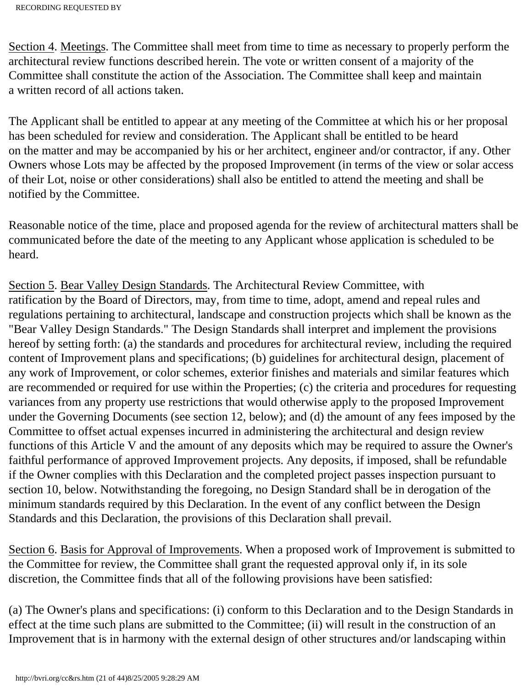Section 4. Meetings. The Committee shall meet from time to time as necessary to properly perform the architectural review functions described herein. The vote or written consent of a majority of the Committee shall constitute the action of the Association. The Committee shall keep and maintain a written record of all actions taken.

The Applicant shall be entitled to appear at any meeting of the Committee at which his or her proposal has been scheduled for review and consideration. The Applicant shall be entitled to be heard on the matter and may be accompanied by his or her architect, engineer and/or contractor, if any. Other Owners whose Lots may be affected by the proposed Improvement (in terms of the view or solar access of their Lot, noise or other considerations) shall also be entitled to attend the meeting and shall be notified by the Committee.

Reasonable notice of the time, place and proposed agenda for the review of architectural matters shall be communicated before the date of the meeting to any Applicant whose application is scheduled to be heard.

Section 5. Bear Valley Design Standards. The Architectural Review Committee, with ratification by the Board of Directors, may, from time to time, adopt, amend and repeal rules and regulations pertaining to architectural, landscape and construction projects which shall be known as the "Bear Valley Design Standards." The Design Standards shall interpret and implement the provisions hereof by setting forth: (a) the standards and procedures for architectural review, including the required content of Improvement plans and specifications; (b) guidelines for architectural design, placement of any work of Improvement, or color schemes, exterior finishes and materials and similar features which are recommended or required for use within the Properties; (c) the criteria and procedures for requesting variances from any property use restrictions that would otherwise apply to the proposed Improvement under the Governing Documents (see section 12, below); and (d) the amount of any fees imposed by the Committee to offset actual expenses incurred in administering the architectural and design review functions of this Article V and the amount of any deposits which may be required to assure the Owner's faithful performance of approved Improvement projects. Any deposits, if imposed, shall be refundable if the Owner complies with this Declaration and the completed project passes inspection pursuant to section 10, below. Notwithstanding the foregoing, no Design Standard shall be in derogation of the minimum standards required by this Declaration. In the event of any conflict between the Design Standards and this Declaration, the provisions of this Declaration shall prevail.

Section 6. Basis for Approval of Improvements. When a proposed work of Improvement is submitted to the Committee for review, the Committee shall grant the requested approval only if, in its sole discretion, the Committee finds that all of the following provisions have been satisfied:

(a) The Owner's plans and specifications: (i) conform to this Declaration and to the Design Standards in effect at the time such plans are submitted to the Committee; (ii) will result in the construction of an Improvement that is in harmony with the external design of other structures and/or landscaping within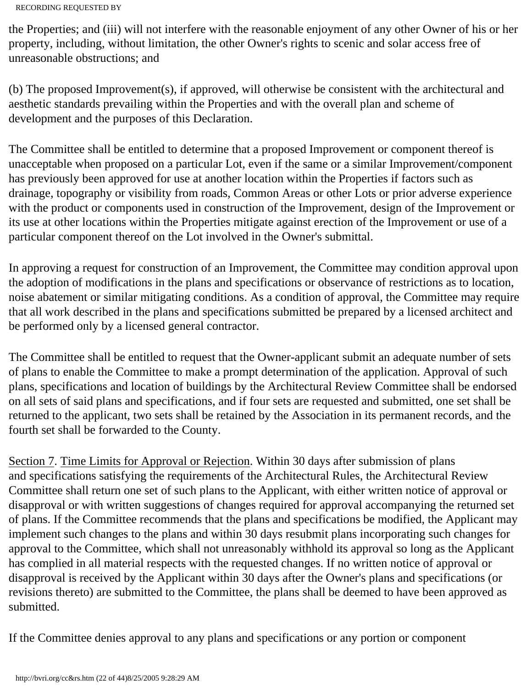the Properties; and (iii) will not interfere with the reasonable enjoyment of any other Owner of his or her property, including, without limitation, the other Owner's rights to scenic and solar access free of unreasonable obstructions; and

(b) The proposed Improvement(s), if approved, will otherwise be consistent with the architectural and aesthetic standards prevailing within the Properties and with the overall plan and scheme of development and the purposes of this Declaration.

The Committee shall be entitled to determine that a proposed Improvement or component thereof is unacceptable when proposed on a particular Lot, even if the same or a similar Improvement/component has previously been approved for use at another location within the Properties if factors such as drainage, topography or visibility from roads, Common Areas or other Lots or prior adverse experience with the product or components used in construction of the Improvement, design of the Improvement or its use at other locations within the Properties mitigate against erection of the Improvement or use of a particular component thereof on the Lot involved in the Owner's submittal.

In approving a request for construction of an Improvement, the Committee may condition approval upon the adoption of modifications in the plans and specifications or observance of restrictions as to location, noise abatement or similar mitigating conditions. As a condition of approval, the Committee may require that all work described in the plans and specifications submitted be prepared by a licensed architect and be performed only by a licensed general contractor.

The Committee shall be entitled to request that the Owner-applicant submit an adequate number of sets of plans to enable the Committee to make a prompt determination of the application. Approval of such plans, specifications and location of buildings by the Architectural Review Committee shall be endorsed on all sets of said plans and specifications, and if four sets are requested and submitted, one set shall be returned to the applicant, two sets shall be retained by the Association in its permanent records, and the fourth set shall be forwarded to the County.

Section 7. Time Limits for Approval or Rejection. Within 30 days after submission of plans and specifications satisfying the requirements of the Architectural Rules, the Architectural Review Committee shall return one set of such plans to the Applicant, with either written notice of approval or disapproval or with written suggestions of changes required for approval accompanying the returned set of plans. If the Committee recommends that the plans and specifications be modified, the Applicant may implement such changes to the plans and within 30 days resubmit plans incorporating such changes for approval to the Committee, which shall not unreasonably withhold its approval so long as the Applicant has complied in all material respects with the requested changes. If no written notice of approval or disapproval is received by the Applicant within 30 days after the Owner's plans and specifications (or revisions thereto) are submitted to the Committee, the plans shall be deemed to have been approved as submitted.

If the Committee denies approval to any plans and specifications or any portion or component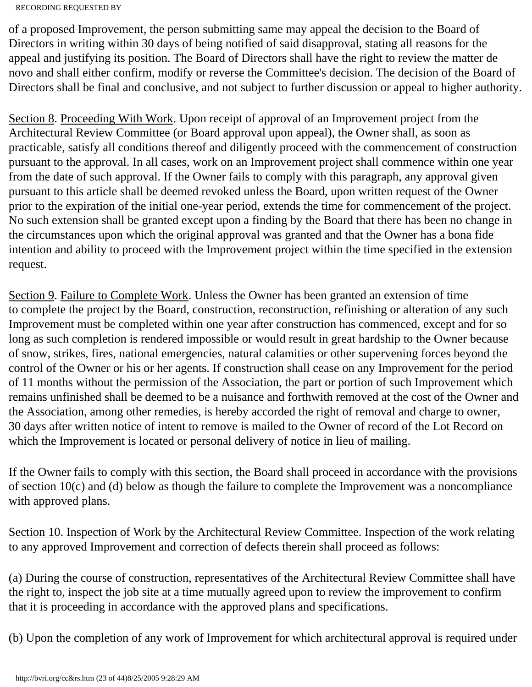of a proposed Improvement, the person submitting same may appeal the decision to the Board of Directors in writing within 30 days of being notified of said disapproval, stating all reasons for the appeal and justifying its position. The Board of Directors shall have the right to review the matter de novo and shall either confirm, modify or reverse the Committee's decision. The decision of the Board of Directors shall be final and conclusive, and not subject to further discussion or appeal to higher authority.

Section 8. Proceeding With Work. Upon receipt of approval of an Improvement project from the Architectural Review Committee (or Board approval upon appeal), the Owner shall, as soon as practicable, satisfy all conditions thereof and diligently proceed with the commencement of construction pursuant to the approval. In all cases, work on an Improvement project shall commence within one year from the date of such approval. If the Owner fails to comply with this paragraph, any approval given pursuant to this article shall be deemed revoked unless the Board, upon written request of the Owner prior to the expiration of the initial one-year period, extends the time for commencement of the project. No such extension shall be granted except upon a finding by the Board that there has been no change in the circumstances upon which the original approval was granted and that the Owner has a bona fide intention and ability to proceed with the Improvement project within the time specified in the extension request.

Section 9. Failure to Complete Work. Unless the Owner has been granted an extension of time to complete the project by the Board, construction, reconstruction, refinishing or alteration of any such Improvement must be completed within one year after construction has commenced, except and for so long as such completion is rendered impossible or would result in great hardship to the Owner because of snow, strikes, fires, national emergencies, natural calamities or other supervening forces beyond the control of the Owner or his or her agents. If construction shall cease on any Improvement for the period of 11 months without the permission of the Association, the part or portion of such Improvement which remains unfinished shall be deemed to be a nuisance and forthwith removed at the cost of the Owner and the Association, among other remedies, is hereby accorded the right of removal and charge to owner, 30 days after written notice of intent to remove is mailed to the Owner of record of the Lot Record on which the Improvement is located or personal delivery of notice in lieu of mailing.

If the Owner fails to comply with this section, the Board shall proceed in accordance with the provisions of section 10(c) and (d) below as though the failure to complete the Improvement was a noncompliance with approved plans.

Section 10. Inspection of Work by the Architectural Review Committee. Inspection of the work relating to any approved Improvement and correction of defects therein shall proceed as follows:

(a) During the course of construction, representatives of the Architectural Review Committee shall have the right to, inspect the job site at a time mutually agreed upon to review the improvement to confirm that it is proceeding in accordance with the approved plans and specifications.

(b) Upon the completion of any work of Improvement for which architectural approval is required under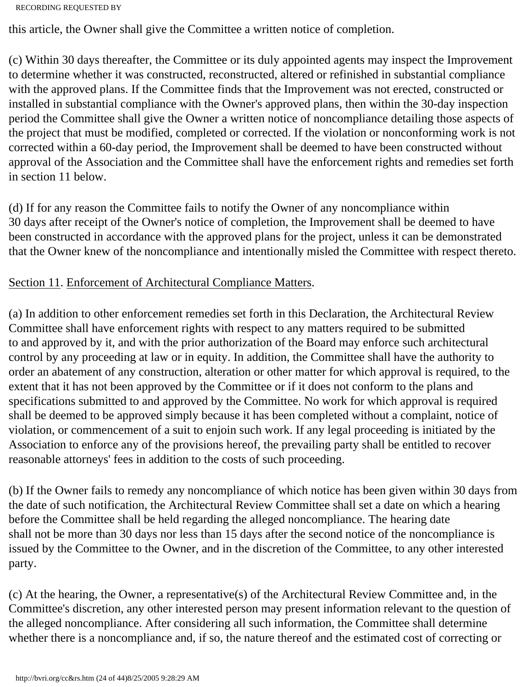```
RECORDING REQUESTED BY
```
this article, the Owner shall give the Committee a written notice of completion.

(c) Within 30 days thereafter, the Committee or its duly appointed agents may inspect the Improvement to determine whether it was constructed, reconstructed, altered or refinished in substantial compliance with the approved plans. If the Committee finds that the Improvement was not erected, constructed or installed in substantial compliance with the Owner's approved plans, then within the 30-day inspection period the Committee shall give the Owner a written notice of noncompliance detailing those aspects of the project that must be modified, completed or corrected. If the violation or nonconforming work is not corrected within a 60-day period, the Improvement shall be deemed to have been constructed without approval of the Association and the Committee shall have the enforcement rights and remedies set forth in section 11 below.

(d) If for any reason the Committee fails to notify the Owner of any noncompliance within 30 days after receipt of the Owner's notice of completion, the Improvement shall be deemed to have been constructed in accordance with the approved plans for the project, unless it can be demonstrated that the Owner knew of the noncompliance and intentionally misled the Committee with respect thereto.

## Section 11. Enforcement of Architectural Compliance Matters.

(a) In addition to other enforcement remedies set forth in this Declaration, the Architectural Review Committee shall have enforcement rights with respect to any matters required to be submitted to and approved by it, and with the prior authorization of the Board may enforce such architectural control by any proceeding at law or in equity. In addition, the Committee shall have the authority to order an abatement of any construction, alteration or other matter for which approval is required, to the extent that it has not been approved by the Committee or if it does not conform to the plans and specifications submitted to and approved by the Committee. No work for which approval is required shall be deemed to be approved simply because it has been completed without a complaint, notice of violation, or commencement of a suit to enjoin such work. If any legal proceeding is initiated by the Association to enforce any of the provisions hereof, the prevailing party shall be entitled to recover reasonable attorneys' fees in addition to the costs of such proceeding.

(b) If the Owner fails to remedy any noncompliance of which notice has been given within 30 days from the date of such notification, the Architectural Review Committee shall set a date on which a hearing before the Committee shall be held regarding the alleged noncompliance. The hearing date shall not be more than 30 days nor less than 15 days after the second notice of the noncompliance is issued by the Committee to the Owner, and in the discretion of the Committee, to any other interested party.

(c) At the hearing, the Owner, a representative(s) of the Architectural Review Committee and, in the Committee's discretion, any other interested person may present information relevant to the question of the alleged noncompliance. After considering all such information, the Committee shall determine whether there is a noncompliance and, if so, the nature thereof and the estimated cost of correcting or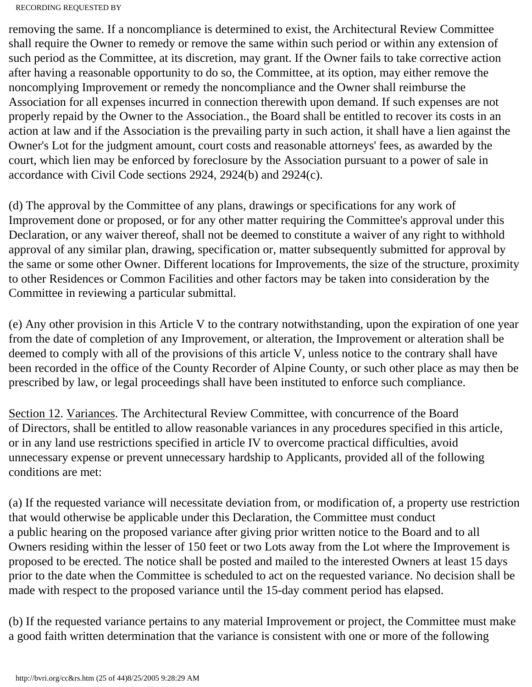removing the same. If a noncompliance is determined to exist, the Architectural Review Committee shall require the Owner to remedy or remove the same within such period or within any extension of such period as the Committee, at its discretion, may grant. If the Owner fails to take corrective action after having a reasonable opportunity to do so, the Committee, at its option, may either remove the noncomplying Improvement or remedy the noncompliance and the Owner shall reimburse the Association for all expenses incurred in connection therewith upon demand. If such expenses are not properly repaid by the Owner to the Association., the Board shall be entitled to recover its costs in an action at law and if the Association is the prevailing party in such action, it shall have a lien against the Owner's Lot for the judgment amount, court costs and reasonable attorneys' fees, as awarded by the court, which lien may be enforced by foreclosure by the Association pursuant to a power of sale in accordance with Civil Code sections 2924, 2924(b) and 2924(c).

(d) The approval by the Committee of any plans, drawings or specifications for any work of Improvement done or proposed, or for any other matter requiring the Committee's approval under this Declaration, or any waiver thereof, shall not be deemed to constitute a waiver of any right to withhold approval of any similar plan, drawing, specification or, matter subsequently submitted for approval by the same or some other Owner. Different locations for Improvements, the size of the structure, proximity to other Residences or Common Facilities and other factors may be taken into consideration by the Committee in reviewing a particular submittal.

(e) Any other provision in this Article V to the contrary notwithstanding, upon the expiration of one year from the date of completion of any Improvement, or alteration, the Improvement or alteration shall be deemed to comply with all of the provisions of this article V, unless notice to the contrary shall have been recorded in the office of the County Recorder of Alpine County, or such other place as may then be prescribed by law, or legal proceedings shall have been instituted to enforce such compliance.

Section 12. Variances. The Architectural Review Committee, with concurrence of the Board of Directors, shall be entitled to allow reasonable variances in any procedures specified in this article, or in any land use restrictions specified in article IV to overcome practical difficulties, avoid unnecessary expense or prevent unnecessary hardship to Applicants, provided all of the following conditions are met:

(a) If the requested variance will necessitate deviation from, or modification of, a property use restriction that would otherwise be applicable under this Declaration, the Committee must conduct a public hearing on the proposed variance after giving prior written notice to the Board and to all Owners residing within the lesser of 150 feet or two Lots away from the Lot where the Improvement is proposed to be erected. The notice shall be posted and mailed to the interested Owners at least 15 days prior to the date when the Committee is scheduled to act on the requested variance. No decision shall be made with respect to the proposed variance until the 15-day comment period has elapsed.

(b) If the requested variance pertains to any material Improvement or project, the Committee must make a good faith written determination that the variance is consistent with one or more of the following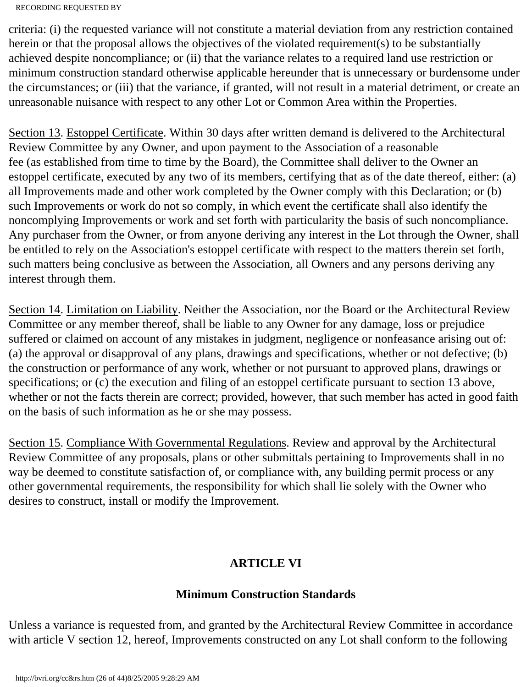criteria: (i) the requested variance will not constitute a material deviation from any restriction contained herein or that the proposal allows the objectives of the violated requirement(s) to be substantially achieved despite noncompliance; or (ii) that the variance relates to a required land use restriction or minimum construction standard otherwise applicable hereunder that is unnecessary or burdensome under the circumstances; or (iii) that the variance, if granted, will not result in a material detriment, or create an unreasonable nuisance with respect to any other Lot or Common Area within the Properties.

Section 13. Estoppel Certificate. Within 30 days after written demand is delivered to the Architectural Review Committee by any Owner, and upon payment to the Association of a reasonable fee (as established from time to time by the Board), the Committee shall deliver to the Owner an estoppel certificate, executed by any two of its members, certifying that as of the date thereof, either: (a) all Improvements made and other work completed by the Owner comply with this Declaration; or (b) such Improvements or work do not so comply, in which event the certificate shall also identify the noncomplying Improvements or work and set forth with particularity the basis of such noncompliance. Any purchaser from the Owner, or from anyone deriving any interest in the Lot through the Owner, shall be entitled to rely on the Association's estoppel certificate with respect to the matters therein set forth, such matters being conclusive as between the Association, all Owners and any persons deriving any interest through them.

Section 14. Limitation on Liability. Neither the Association, nor the Board or the Architectural Review Committee or any member thereof, shall be liable to any Owner for any damage, loss or prejudice suffered or claimed on account of any mistakes in judgment, negligence or nonfeasance arising out of: (a) the approval or disapproval of any plans, drawings and specifications, whether or not defective; (b) the construction or performance of any work, whether or not pursuant to approved plans, drawings or specifications; or (c) the execution and filing of an estoppel certificate pursuant to section 13 above, whether or not the facts therein are correct; provided, however, that such member has acted in good faith on the basis of such information as he or she may possess.

Section 15. Compliance With Governmental Regulations. Review and approval by the Architectural Review Committee of any proposals, plans or other submittals pertaining to Improvements shall in no way be deemed to constitute satisfaction of, or compliance with, any building permit process or any other governmental requirements, the responsibility for which shall lie solely with the Owner who desires to construct, install or modify the Improvement.

# **ARTICLE VI**

# **Minimum Construction Standards**

Unless a variance is requested from, and granted by the Architectural Review Committee in accordance with article V section 12, hereof, Improvements constructed on any Lot shall conform to the following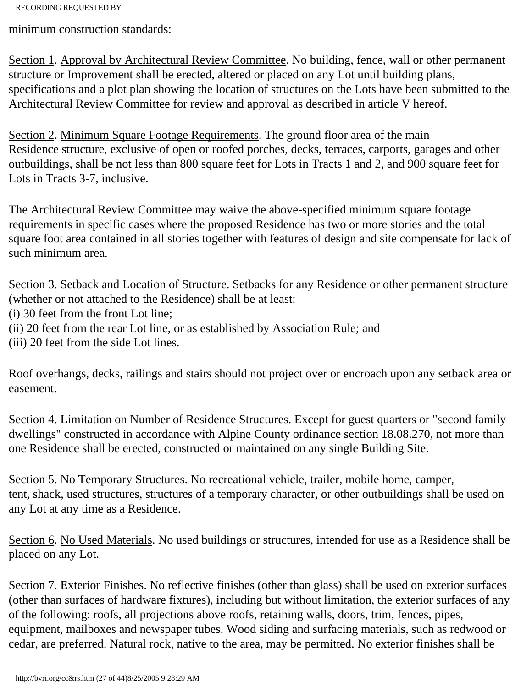minimum construction standards:

Section 1. Approval by Architectural Review Committee. No building, fence, wall or other permanent structure or Improvement shall be erected, altered or placed on any Lot until building plans, specifications and a plot plan showing the location of structures on the Lots have been submitted to the Architectural Review Committee for review and approval as described in article V hereof.

Section 2. Minimum Square Footage Requirements. The ground floor area of the main Residence structure, exclusive of open or roofed porches, decks, terraces, carports, garages and other outbuildings, shall be not less than 800 square feet for Lots in Tracts 1 and 2, and 900 square feet for Lots in Tracts 3-7, inclusive.

The Architectural Review Committee may waive the above-specified minimum square footage requirements in specific cases where the proposed Residence has two or more stories and the total square foot area contained in all stories together with features of design and site compensate for lack of such minimum area.

Section 3. Setback and Location of Structure. Setbacks for any Residence or other permanent structure (whether or not attached to the Residence) shall be at least:

(i) 30 feet from the front Lot line;

(ii) 20 feet from the rear Lot line, or as established by Association Rule; and

(iii) 20 feet from the side Lot lines.

Roof overhangs, decks, railings and stairs should not project over or encroach upon any setback area or easement.

Section 4. Limitation on Number of Residence Structures. Except for guest quarters or "second family dwellings" constructed in accordance with Alpine County ordinance section 18.08.270, not more than one Residence shall be erected, constructed or maintained on any single Building Site.

Section 5. No Temporary Structures. No recreational vehicle, trailer, mobile home, camper, tent, shack, used structures, structures of a temporary character, or other outbuildings shall be used on any Lot at any time as a Residence.

Section 6. No Used Materials. No used buildings or structures, intended for use as a Residence shall be placed on any Lot.

Section 7. Exterior Finishes. No reflective finishes (other than glass) shall be used on exterior surfaces (other than surfaces of hardware fixtures), including but without limitation, the exterior surfaces of any of the following: roofs, all projections above roofs, retaining walls, doors, trim, fences, pipes, equipment, mailboxes and newspaper tubes. Wood siding and surfacing materials, such as redwood or cedar, are preferred. Natural rock, native to the area, may be permitted. No exterior finishes shall be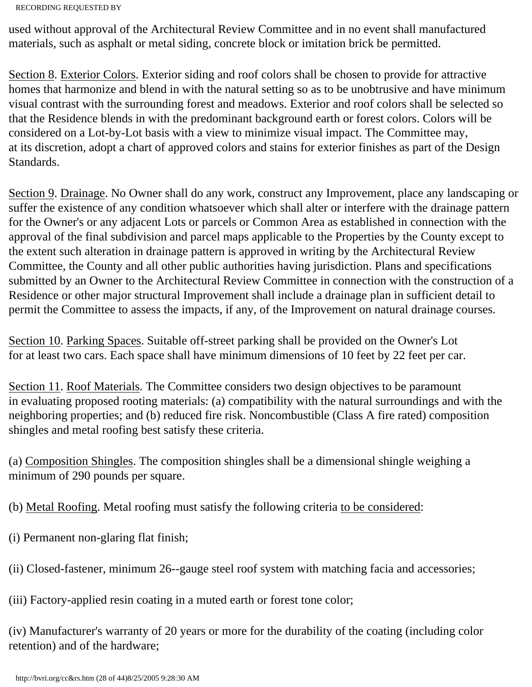used without approval of the Architectural Review Committee and in no event shall manufactured materials, such as asphalt or metal siding, concrete block or imitation brick be permitted.

Section 8. Exterior Colors. Exterior siding and roof colors shall be chosen to provide for attractive homes that harmonize and blend in with the natural setting so as to be unobtrusive and have minimum visual contrast with the surrounding forest and meadows. Exterior and roof colors shall be selected so that the Residence blends in with the predominant background earth or forest colors. Colors will be considered on a Lot-by-Lot basis with a view to minimize visual impact. The Committee may, at its discretion, adopt a chart of approved colors and stains for exterior finishes as part of the Design Standards.

Section 9. Drainage. No Owner shall do any work, construct any Improvement, place any landscaping or suffer the existence of any condition whatsoever which shall alter or interfere with the drainage pattern for the Owner's or any adjacent Lots or parcels or Common Area as established in connection with the approval of the final subdivision and parcel maps applicable to the Properties by the County except to the extent such alteration in drainage pattern is approved in writing by the Architectural Review Committee, the County and all other public authorities having jurisdiction. Plans and specifications submitted by an Owner to the Architectural Review Committee in connection with the construction of a Residence or other major structural Improvement shall include a drainage plan in sufficient detail to permit the Committee to assess the impacts, if any, of the Improvement on natural drainage courses.

Section 10. Parking Spaces. Suitable off-street parking shall be provided on the Owner's Lot for at least two cars. Each space shall have minimum dimensions of 10 feet by 22 feet per car.

Section 11. Roof Materials. The Committee considers two design objectives to be paramount in evaluating proposed rooting materials: (a) compatibility with the natural surroundings and with the neighboring properties; and (b) reduced fire risk. Noncombustible (Class A fire rated) composition shingles and metal roofing best satisfy these criteria.

(a) Composition Shingles. The composition shingles shall be a dimensional shingle weighing a minimum of 290 pounds per square.

(b) Metal Roofing. Metal roofing must satisfy the following criteria to be considered:

- (i) Permanent non-glaring flat finish;
- (ii) Closed-fastener, minimum 26--gauge steel roof system with matching facia and accessories;

(iii) Factory-applied resin coating in a muted earth or forest tone color;

(iv) Manufacturer's warranty of 20 years or more for the durability of the coating (including color retention) and of the hardware;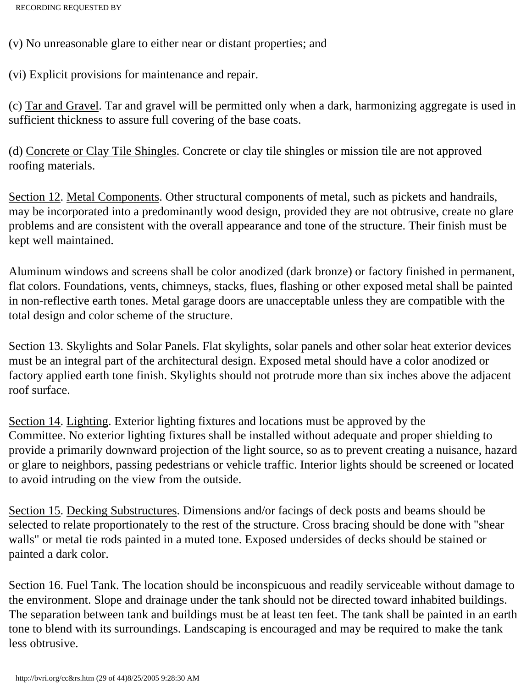(v) No unreasonable glare to either near or distant properties; and

(vi) Explicit provisions for maintenance and repair.

(c) Tar and Gravel. Tar and gravel will be permitted only when a dark, harmonizing aggregate is used in sufficient thickness to assure full covering of the base coats.

(d) Concrete or Clay Tile Shingles. Concrete or clay tile shingles or mission tile are not approved roofing materials.

Section 12. Metal Components. Other structural components of metal, such as pickets and handrails, may be incorporated into a predominantly wood design, provided they are not obtrusive, create no glare problems and are consistent with the overall appearance and tone of the structure. Their finish must be kept well maintained.

Aluminum windows and screens shall be color anodized (dark bronze) or factory finished in permanent, flat colors. Foundations, vents, chimneys, stacks, flues, flashing or other exposed metal shall be painted in non-reflective earth tones. Metal garage doors are unacceptable unless they are compatible with the total design and color scheme of the structure.

Section 13. Skylights and Solar Panels. Flat skylights, solar panels and other solar heat exterior devices must be an integral part of the architectural design. Exposed metal should have a color anodized or factory applied earth tone finish. Skylights should not protrude more than six inches above the adjacent roof surface.

Section 14. Lighting. Exterior lighting fixtures and locations must be approved by the Committee. No exterior lighting fixtures shall be installed without adequate and proper shielding to provide a primarily downward projection of the light source, so as to prevent creating a nuisance, hazard or glare to neighbors, passing pedestrians or vehicle traffic. Interior lights should be screened or located to avoid intruding on the view from the outside.

Section 15. Decking Substructures. Dimensions and/or facings of deck posts and beams should be selected to relate proportionately to the rest of the structure. Cross bracing should be done with "shear walls" or metal tie rods painted in a muted tone. Exposed undersides of decks should be stained or painted a dark color.

Section 16. Fuel Tank. The location should be inconspicuous and readily serviceable without damage to the environment. Slope and drainage under the tank should not be directed toward inhabited buildings. The separation between tank and buildings must be at least ten feet. The tank shall be painted in an earth tone to blend with its surroundings. Landscaping is encouraged and may be required to make the tank less obtrusive.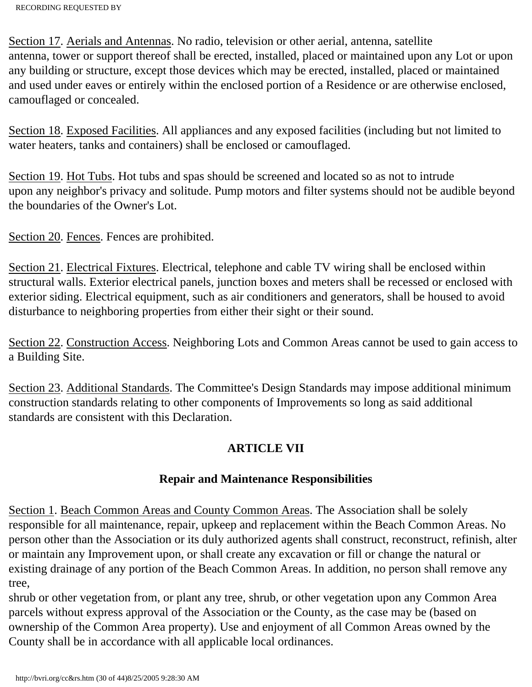Section 17. Aerials and Antennas. No radio, television or other aerial, antenna, satellite antenna, tower or support thereof shall be erected, installed, placed or maintained upon any Lot or upon any building or structure, except those devices which may be erected, installed, placed or maintained and used under eaves or entirely within the enclosed portion of a Residence or are otherwise enclosed, camouflaged or concealed.

Section 18. Exposed Facilities. All appliances and any exposed facilities (including but not limited to water heaters, tanks and containers) shall be enclosed or camouflaged.

Section 19. Hot Tubs. Hot tubs and spas should be screened and located so as not to intrude upon any neighbor's privacy and solitude. Pump motors and filter systems should not be audible beyond the boundaries of the Owner's Lot.

Section 20. Fences. Fences are prohibited.

Section 21. Electrical Fixtures. Electrical, telephone and cable TV wiring shall be enclosed within structural walls. Exterior electrical panels, junction boxes and meters shall be recessed or enclosed with exterior siding. Electrical equipment, such as air conditioners and generators, shall be housed to avoid disturbance to neighboring properties from either their sight or their sound.

Section 22. Construction Access. Neighboring Lots and Common Areas cannot be used to gain access to a Building Site.

Section 23. Additional Standards. The Committee's Design Standards may impose additional minimum construction standards relating to other components of Improvements so long as said additional standards are consistent with this Declaration.

## **ARTICLE VII**

### **Repair and Maintenance Responsibilities**

Section 1. Beach Common Areas and County Common Areas. The Association shall be solely responsible for all maintenance, repair, upkeep and replacement within the Beach Common Areas. No person other than the Association or its duly authorized agents shall construct, reconstruct, refinish, alter or maintain any Improvement upon, or shall create any excavation or fill or change the natural or existing drainage of any portion of the Beach Common Areas. In addition, no person shall remove any tree,

shrub or other vegetation from, or plant any tree, shrub, or other vegetation upon any Common Area parcels without express approval of the Association or the County, as the case may be (based on ownership of the Common Area property). Use and enjoyment of all Common Areas owned by the County shall be in accordance with all applicable local ordinances.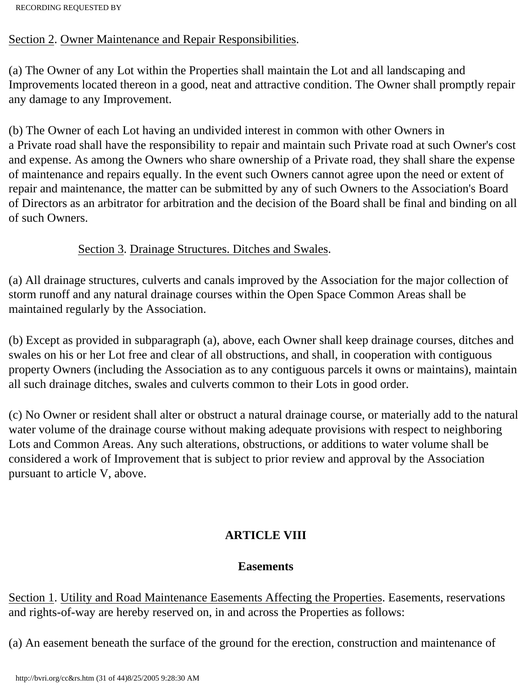### Section 2. Owner Maintenance and Repair Responsibilities.

(a) The Owner of any Lot within the Properties shall maintain the Lot and all landscaping and Improvements located thereon in a good, neat and attractive condition. The Owner shall promptly repair any damage to any Improvement.

(b) The Owner of each Lot having an undivided interest in common with other Owners in a Private road shall have the responsibility to repair and maintain such Private road at such Owner's cost and expense. As among the Owners who share ownership of a Private road, they shall share the expense of maintenance and repairs equally. In the event such Owners cannot agree upon the need or extent of repair and maintenance, the matter can be submitted by any of such Owners to the Association's Board of Directors as an arbitrator for arbitration and the decision of the Board shall be final and binding on all of such Owners.

### Section 3. Drainage Structures. Ditches and Swales.

(a) All drainage structures, culverts and canals improved by the Association for the major collection of storm runoff and any natural drainage courses within the Open Space Common Areas shall be maintained regularly by the Association.

(b) Except as provided in subparagraph (a), above, each Owner shall keep drainage courses, ditches and swales on his or her Lot free and clear of all obstructions, and shall, in cooperation with contiguous property Owners (including the Association as to any contiguous parcels it owns or maintains), maintain all such drainage ditches, swales and culverts common to their Lots in good order.

(c) No Owner or resident shall alter or obstruct a natural drainage course, or materially add to the natural water volume of the drainage course without making adequate provisions with respect to neighboring Lots and Common Areas. Any such alterations, obstructions, or additions to water volume shall be considered a work of Improvement that is subject to prior review and approval by the Association pursuant to article V, above.

# **ARTICLE VIII**

## **Easements**

Section 1. Utility and Road Maintenance Easements Affecting the Properties. Easements, reservations and rights-of-way are hereby reserved on, in and across the Properties as follows:

(a) An easement beneath the surface of the ground for the erection, construction and maintenance of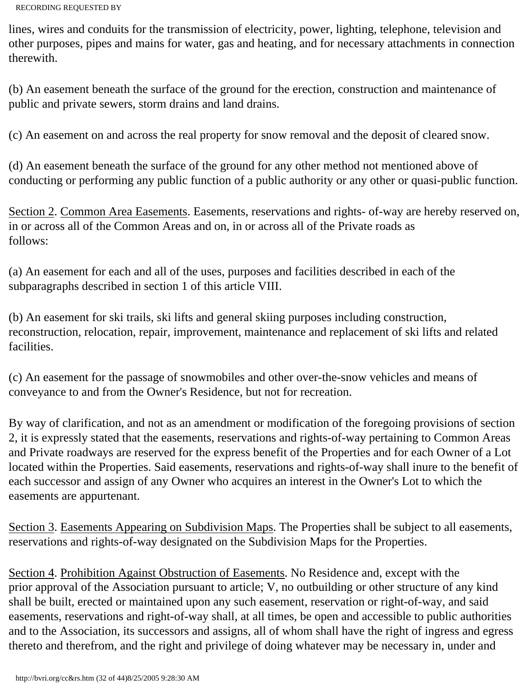lines, wires and conduits for the transmission of electricity, power, lighting, telephone, television and other purposes, pipes and mains for water, gas and heating, and for necessary attachments in connection therewith.

(b) An easement beneath the surface of the ground for the erection, construction and maintenance of public and private sewers, storm drains and land drains.

(c) An easement on and across the real property for snow removal and the deposit of cleared snow.

(d) An easement beneath the surface of the ground for any other method not mentioned above of conducting or performing any public function of a public authority or any other or quasi-public function.

Section 2. Common Area Easements. Easements, reservations and rights- of-way are hereby reserved on, in or across all of the Common Areas and on, in or across all of the Private roads as follows:

(a) An easement for each and all of the uses, purposes and facilities described in each of the subparagraphs described in section 1 of this article VIII.

(b) An easement for ski trails, ski lifts and general skiing purposes including construction, reconstruction, relocation, repair, improvement, maintenance and replacement of ski lifts and related facilities.

(c) An easement for the passage of snowmobiles and other over-the-snow vehicles and means of conveyance to and from the Owner's Residence, but not for recreation.

By way of clarification, and not as an amendment or modification of the foregoing provisions of section 2, it is expressly stated that the easements, reservations and rights-of-way pertaining to Common Areas and Private roadways are reserved for the express benefit of the Properties and for each Owner of a Lot located within the Properties. Said easements, reservations and rights-of-way shall inure to the benefit of each successor and assign of any Owner who acquires an interest in the Owner's Lot to which the easements are appurtenant.

Section 3. Easements Appearing on Subdivision Maps. The Properties shall be subject to all easements, reservations and rights-of-way designated on the Subdivision Maps for the Properties.

Section 4. Prohibition Against Obstruction of Easements. No Residence and, except with the prior approval of the Association pursuant to article; V, no outbuilding or other structure of any kind shall be built, erected or maintained upon any such easement, reservation or right-of-way, and said easements, reservations and right-of-way shall, at all times, be open and accessible to public authorities and to the Association, its successors and assigns, all of whom shall have the right of ingress and egress thereto and therefrom, and the right and privilege of doing whatever may be necessary in, under and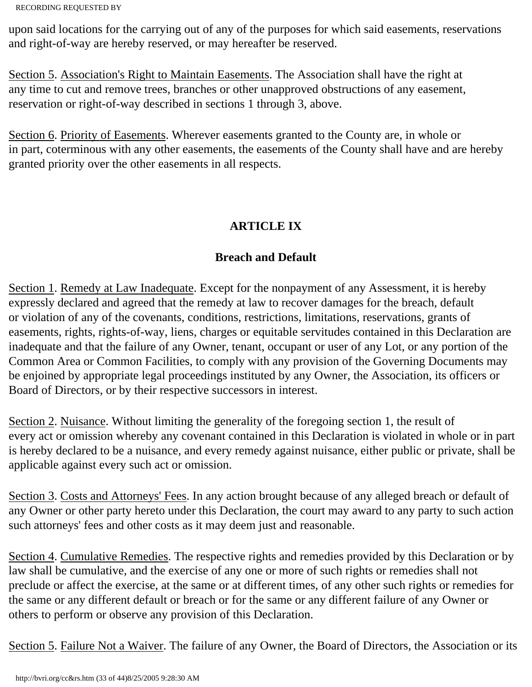upon said locations for the carrying out of any of the purposes for which said easements, reservations and right-of-way are hereby reserved, or may hereafter be reserved.

Section 5. Association's Right to Maintain Easements. The Association shall have the right at any time to cut and remove trees, branches or other unapproved obstructions of any easement, reservation or right-of-way described in sections 1 through 3, above.

Section 6. Priority of Easements. Wherever easements granted to the County are, in whole or in part, coterminous with any other easements, the easements of the County shall have and are hereby granted priority over the other easements in all respects.

# **ARTICLE IX**

# **Breach and Default**

Section 1. Remedy at Law Inadequate. Except for the nonpayment of any Assessment, it is hereby expressly declared and agreed that the remedy at law to recover damages for the breach, default or violation of any of the covenants, conditions, restrictions, limitations, reservations, grants of easements, rights, rights-of-way, liens, charges or equitable servitudes contained in this Declaration are inadequate and that the failure of any Owner, tenant, occupant or user of any Lot, or any portion of the Common Area or Common Facilities, to comply with any provision of the Governing Documents may be enjoined by appropriate legal proceedings instituted by any Owner, the Association, its officers or Board of Directors, or by their respective successors in interest.

Section 2. Nuisance. Without limiting the generality of the foregoing section 1, the result of every act or omission whereby any covenant contained in this Declaration is violated in whole or in part is hereby declared to be a nuisance, and every remedy against nuisance, either public or private, shall be applicable against every such act or omission.

Section 3. Costs and Attorneys' Fees. In any action brought because of any alleged breach or default of any Owner or other party hereto under this Declaration, the court may award to any party to such action such attorneys' fees and other costs as it may deem just and reasonable.

Section 4. Cumulative Remedies. The respective rights and remedies provided by this Declaration or by law shall be cumulative, and the exercise of any one or more of such rights or remedies shall not preclude or affect the exercise, at the same or at different times, of any other such rights or remedies for the same or any different default or breach or for the same or any different failure of any Owner or others to perform or observe any provision of this Declaration.

Section 5. Failure Not a Waiver. The failure of any Owner, the Board of Directors, the Association or its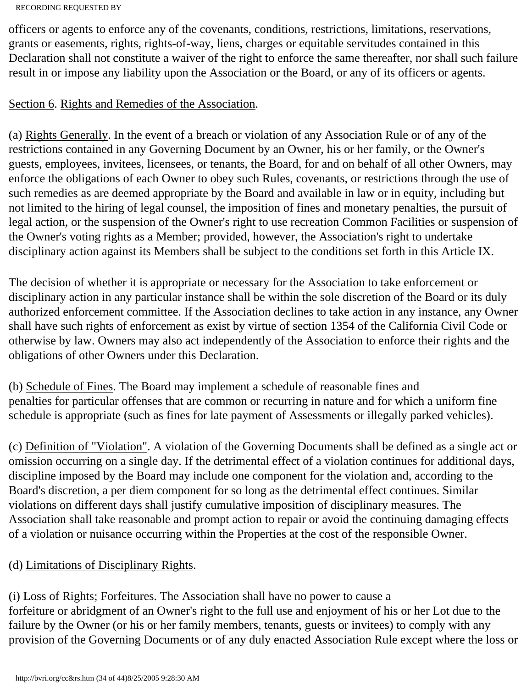officers or agents to enforce any of the covenants, conditions, restrictions, limitations, reservations, grants or easements, rights, rights-of-way, liens, charges or equitable servitudes contained in this Declaration shall not constitute a waiver of the right to enforce the same thereafter, nor shall such failure result in or impose any liability upon the Association or the Board, or any of its officers or agents.

## Section 6. Rights and Remedies of the Association.

(a) Rights Generally. In the event of a breach or violation of any Association Rule or of any of the restrictions contained in any Governing Document by an Owner, his or her family, or the Owner's guests, employees, invitees, licensees, or tenants, the Board, for and on behalf of all other Owners, may enforce the obligations of each Owner to obey such Rules, covenants, or restrictions through the use of such remedies as are deemed appropriate by the Board and available in law or in equity, including but not limited to the hiring of legal counsel, the imposition of fines and monetary penalties, the pursuit of legal action, or the suspension of the Owner's right to use recreation Common Facilities or suspension of the Owner's voting rights as a Member; provided, however, the Association's right to undertake disciplinary action against its Members shall be subject to the conditions set forth in this Article IX.

The decision of whether it is appropriate or necessary for the Association to take enforcement or disciplinary action in any particular instance shall be within the sole discretion of the Board or its duly authorized enforcement committee. If the Association declines to take action in any instance, any Owner shall have such rights of enforcement as exist by virtue of section 1354 of the California Civil Code or otherwise by law. Owners may also act independently of the Association to enforce their rights and the obligations of other Owners under this Declaration.

(b) Schedule of Fines. The Board may implement a schedule of reasonable fines and penalties for particular offenses that are common or recurring in nature and for which a uniform fine schedule is appropriate (such as fines for late payment of Assessments or illegally parked vehicles).

(c) Definition of "Violation". A violation of the Governing Documents shall be defined as a single act or omission occurring on a single day. If the detrimental effect of a violation continues for additional days, discipline imposed by the Board may include one component for the violation and, according to the Board's discretion, a per diem component for so long as the detrimental effect continues. Similar violations on different days shall justify cumulative imposition of disciplinary measures. The Association shall take reasonable and prompt action to repair or avoid the continuing damaging effects of a violation or nuisance occurring within the Properties at the cost of the responsible Owner.

## (d) Limitations of Disciplinary Rights.

(i) Loss of Rights; Forfeitures. The Association shall have no power to cause a forfeiture or abridgment of an Owner's right to the full use and enjoyment of his or her Lot due to the failure by the Owner (or his or her family members, tenants, guests or invitees) to comply with any provision of the Governing Documents or of any duly enacted Association Rule except where the loss or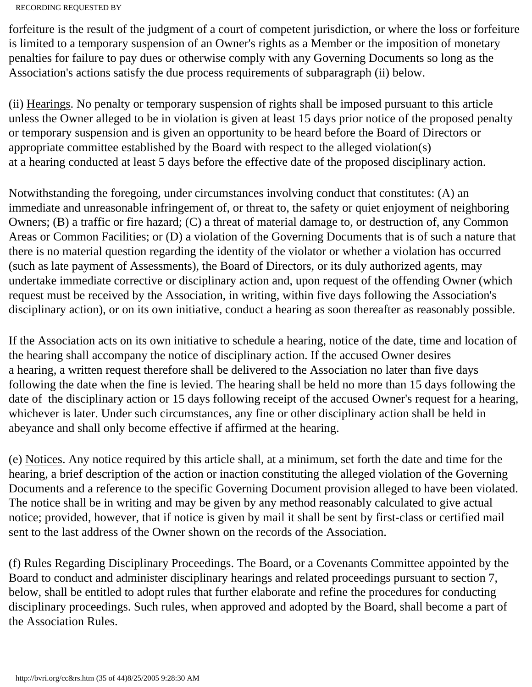```
RECORDING REQUESTED BY
```
forfeiture is the result of the judgment of a court of competent jurisdiction, or where the loss or forfeiture is limited to a temporary suspension of an Owner's rights as a Member or the imposition of monetary penalties for failure to pay dues or otherwise comply with any Governing Documents so long as the Association's actions satisfy the due process requirements of subparagraph (ii) below.

(ii) Hearings. No penalty or temporary suspension of rights shall be imposed pursuant to this article unless the Owner alleged to be in violation is given at least 15 days prior notice of the proposed penalty or temporary suspension and is given an opportunity to be heard before the Board of Directors or appropriate committee established by the Board with respect to the alleged violation(s) at a hearing conducted at least 5 days before the effective date of the proposed disciplinary action.

Notwithstanding the foregoing, under circumstances involving conduct that constitutes: (A) an immediate and unreasonable infringement of, or threat to, the safety or quiet enjoyment of neighboring Owners; (B) a traffic or fire hazard; (C) a threat of material damage to, or destruction of, any Common Areas or Common Facilities; or (D) a violation of the Governing Documents that is of such a nature that there is no material question regarding the identity of the violator or whether a violation has occurred (such as late payment of Assessments), the Board of Directors, or its duly authorized agents, may undertake immediate corrective or disciplinary action and, upon request of the offending Owner (which request must be received by the Association, in writing, within five days following the Association's disciplinary action), or on its own initiative, conduct a hearing as soon thereafter as reasonably possible.

If the Association acts on its own initiative to schedule a hearing, notice of the date, time and location of the hearing shall accompany the notice of disciplinary action. If the accused Owner desires a hearing, a written request therefore shall be delivered to the Association no later than five days following the date when the fine is levied. The hearing shall be held no more than 15 days following the date of the disciplinary action or 15 days following receipt of the accused Owner's request for a hearing, whichever is later. Under such circumstances, any fine or other disciplinary action shall be held in abeyance and shall only become effective if affirmed at the hearing.

(e) Notices. Any notice required by this article shall, at a minimum, set forth the date and time for the hearing, a brief description of the action or inaction constituting the alleged violation of the Governing Documents and a reference to the specific Governing Document provision alleged to have been violated. The notice shall be in writing and may be given by any method reasonably calculated to give actual notice; provided, however, that if notice is given by mail it shall be sent by first-class or certified mail sent to the last address of the Owner shown on the records of the Association.

(f) Rules Regarding Disciplinary Proceedings. The Board, or a Covenants Committee appointed by the Board to conduct and administer disciplinary hearings and related proceedings pursuant to section 7, below, shall be entitled to adopt rules that further elaborate and refine the procedures for conducting disciplinary proceedings. Such rules, when approved and adopted by the Board, shall become a part of the Association Rules.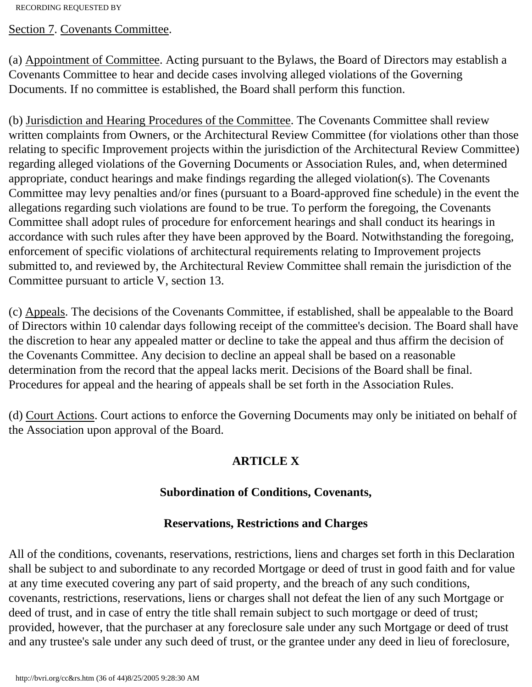Section 7. Covenants Committee.

(a) Appointment of Committee. Acting pursuant to the Bylaws, the Board of Directors may establish a Covenants Committee to hear and decide cases involving alleged violations of the Governing Documents. If no committee is established, the Board shall perform this function.

(b) Jurisdiction and Hearing Procedures of the Committee. The Covenants Committee shall review written complaints from Owners, or the Architectural Review Committee (for violations other than those relating to specific Improvement projects within the jurisdiction of the Architectural Review Committee) regarding alleged violations of the Governing Documents or Association Rules, and, when determined appropriate, conduct hearings and make findings regarding the alleged violation(s). The Covenants Committee may levy penalties and/or fines (pursuant to a Board-approved fine schedule) in the event the allegations regarding such violations are found to be true. To perform the foregoing, the Covenants Committee shall adopt rules of procedure for enforcement hearings and shall conduct its hearings in accordance with such rules after they have been approved by the Board. Notwithstanding the foregoing, enforcement of specific violations of architectural requirements relating to Improvement projects submitted to, and reviewed by, the Architectural Review Committee shall remain the jurisdiction of the Committee pursuant to article V, section 13.

(c) Appeals. The decisions of the Covenants Committee, if established, shall be appealable to the Board of Directors within 10 calendar days following receipt of the committee's decision. The Board shall have the discretion to hear any appealed matter or decline to take the appeal and thus affirm the decision of the Covenants Committee. Any decision to decline an appeal shall be based on a reasonable determination from the record that the appeal lacks merit. Decisions of the Board shall be final. Procedures for appeal and the hearing of appeals shall be set forth in the Association Rules.

(d) Court Actions. Court actions to enforce the Governing Documents may only be initiated on behalf of the Association upon approval of the Board.

# **ARTICLE X**

## **Subordination of Conditions, Covenants,**

## **Reservations, Restrictions and Charges**

All of the conditions, covenants, reservations, restrictions, liens and charges set forth in this Declaration shall be subject to and subordinate to any recorded Mortgage or deed of trust in good faith and for value at any time executed covering any part of said property, and the breach of any such conditions, covenants, restrictions, reservations, liens or charges shall not defeat the lien of any such Mortgage or deed of trust, and in case of entry the title shall remain subject to such mortgage or deed of trust; provided, however, that the purchaser at any foreclosure sale under any such Mortgage or deed of trust and any trustee's sale under any such deed of trust, or the grantee under any deed in lieu of foreclosure,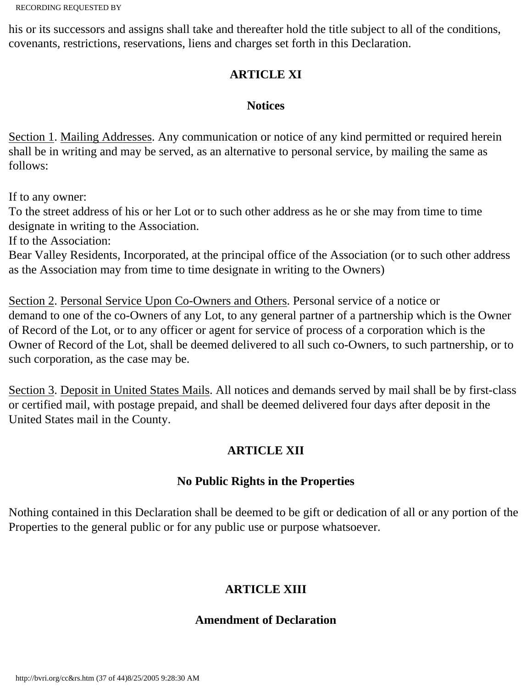his or its successors and assigns shall take and thereafter hold the title subject to all of the conditions, covenants, restrictions, reservations, liens and charges set forth in this Declaration.

## **ARTICLE XI**

### **Notices**

Section 1. Mailing Addresses. Any communication or notice of any kind permitted or required herein shall be in writing and may be served, as an alternative to personal service, by mailing the same as follows:

If to any owner:

To the street address of his or her Lot or to such other address as he or she may from time to time designate in writing to the Association.

If to the Association:

Bear Valley Residents, Incorporated, at the principal office of the Association (or to such other address as the Association may from time to time designate in writing to the Owners)

Section 2. Personal Service Upon Co-Owners and Others. Personal service of a notice or demand to one of the co-Owners of any Lot, to any general partner of a partnership which is the Owner of Record of the Lot, or to any officer or agent for service of process of a corporation which is the Owner of Record of the Lot, shall be deemed delivered to all such co-Owners, to such partnership, or to such corporation, as the case may be.

Section 3. Deposit in United States Mails. All notices and demands served by mail shall be by first-class or certified mail, with postage prepaid, and shall be deemed delivered four days after deposit in the United States mail in the County.

# **ARTICLE XII**

### **No Public Rights in the Properties**

Nothing contained in this Declaration shall be deemed to be gift or dedication of all or any portion of the Properties to the general public or for any public use or purpose whatsoever.

# **ARTICLE XIII**

### **Amendment of Declaration**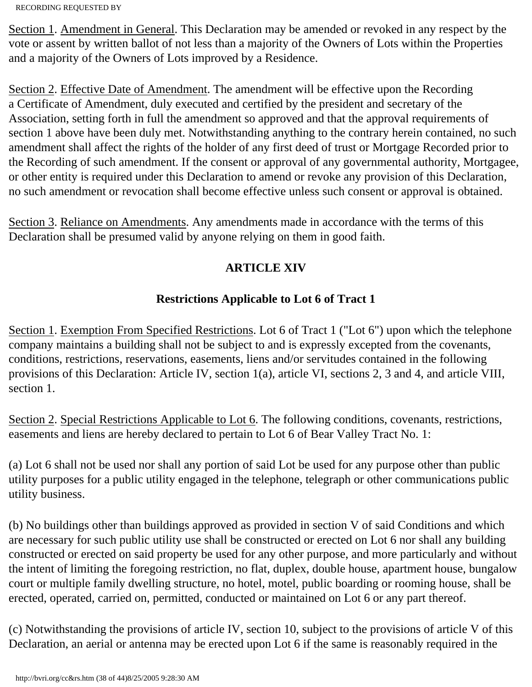Section 1. Amendment in General. This Declaration may be amended or revoked in any respect by the vote or assent by written ballot of not less than a majority of the Owners of Lots within the Properties and a majority of the Owners of Lots improved by a Residence.

Section 2. Effective Date of Amendment. The amendment will be effective upon the Recording a Certificate of Amendment, duly executed and certified by the president and secretary of the Association, setting forth in full the amendment so approved and that the approval requirements of section 1 above have been duly met. Notwithstanding anything to the contrary herein contained, no such amendment shall affect the rights of the holder of any first deed of trust or Mortgage Recorded prior to the Recording of such amendment. If the consent or approval of any governmental authority, Mortgagee, or other entity is required under this Declaration to amend or revoke any provision of this Declaration, no such amendment or revocation shall become effective unless such consent or approval is obtained.

Section 3. Reliance on Amendments. Any amendments made in accordance with the terms of this Declaration shall be presumed valid by anyone relying on them in good faith.

# **ARTICLE XIV**

# **Restrictions Applicable to Lot 6 of Tract 1**

Section 1. Exemption From Specified Restrictions. Lot 6 of Tract 1 ("Lot 6") upon which the telephone company maintains a building shall not be subject to and is expressly excepted from the covenants, conditions, restrictions, reservations, easements, liens and/or servitudes contained in the following provisions of this Declaration: Article IV, section 1(a), article VI, sections 2, 3 and 4, and article VIII, section 1.

Section 2. Special Restrictions Applicable to Lot 6. The following conditions, covenants, restrictions, easements and liens are hereby declared to pertain to Lot 6 of Bear Valley Tract No. 1:

(a) Lot 6 shall not be used nor shall any portion of said Lot be used for any purpose other than public utility purposes for a public utility engaged in the telephone, telegraph or other communications public utility business.

(b) No buildings other than buildings approved as provided in section V of said Conditions and which are necessary for such public utility use shall be constructed or erected on Lot 6 nor shall any building constructed or erected on said property be used for any other purpose, and more particularly and without the intent of limiting the foregoing restriction, no flat, duplex, double house, apartment house, bungalow court or multiple family dwelling structure, no hotel, motel, public boarding or rooming house, shall be erected, operated, carried on, permitted, conducted or maintained on Lot 6 or any part thereof.

(c) Notwithstanding the provisions of article IV, section 10, subject to the provisions of article V of this Declaration, an aerial or antenna may be erected upon Lot 6 if the same is reasonably required in the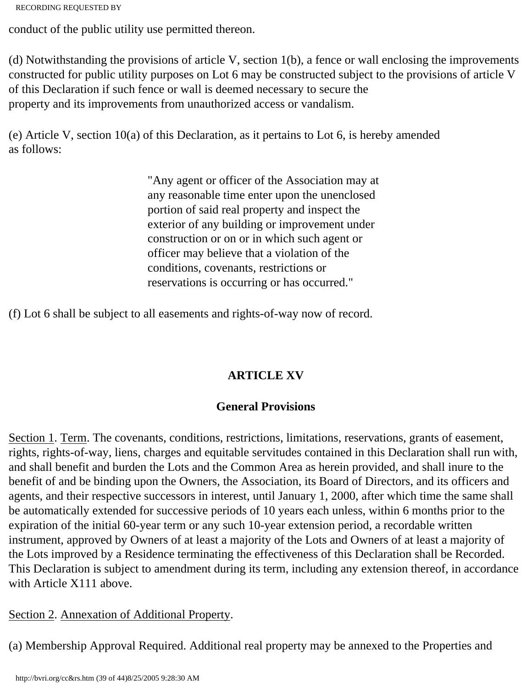```
RECORDING REQUESTED BY
```
conduct of the public utility use permitted thereon.

(d) Notwithstanding the provisions of article V, section 1(b), a fence or wall enclosing the improvements constructed for public utility purposes on Lot 6 may be constructed subject to the provisions of article V of this Declaration if such fence or wall is deemed necessary to secure the property and its improvements from unauthorized access or vandalism.

(e) Article V, section 10(a) of this Declaration, as it pertains to Lot 6, is hereby amended as follows:

> "Any agent or officer of the Association may at any reasonable time enter upon the unenclosed portion of said real property and inspect the exterior of any building or improvement under construction or on or in which such agent or officer may believe that a violation of the conditions, covenants, restrictions or reservations is occurring or has occurred."

(f) Lot 6 shall be subject to all easements and rights-of-way now of record.

# **ARTICLE XV**

## **General Provisions**

Section 1. Term. The covenants, conditions, restrictions, limitations, reservations, grants of easement, rights, rights-of-way, liens, charges and equitable servitudes contained in this Declaration shall run with, and shall benefit and burden the Lots and the Common Area as herein provided, and shall inure to the benefit of and be binding upon the Owners, the Association, its Board of Directors, and its officers and agents, and their respective successors in interest, until January 1, 2000, after which time the same shall be automatically extended for successive periods of 10 years each unless, within 6 months prior to the expiration of the initial 60-year term or any such 10-year extension period, a recordable written instrument, approved by Owners of at least a majority of the Lots and Owners of at least a majority of the Lots improved by a Residence terminating the effectiveness of this Declaration shall be Recorded. This Declaration is subject to amendment during its term, including any extension thereof, in accordance with Article X111 above.

## Section 2. Annexation of Additional Property.

(a) Membership Approval Required. Additional real property may be annexed to the Properties and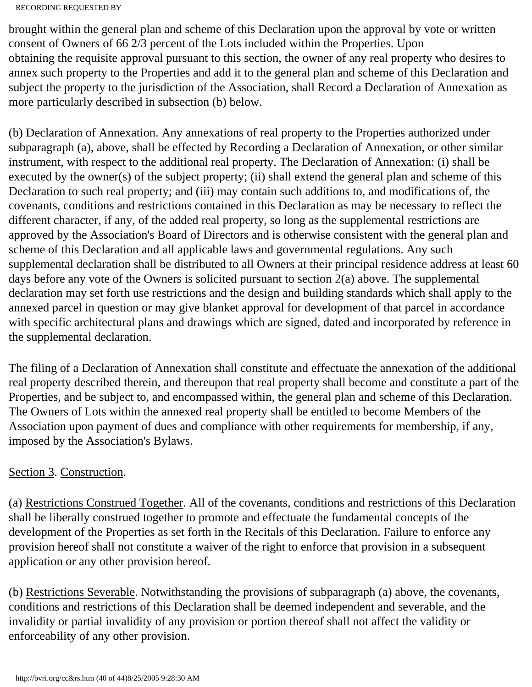brought within the general plan and scheme of this Declaration upon the approval by vote or written consent of Owners of 66 2/3 percent of the Lots included within the Properties. Upon obtaining the requisite approval pursuant to this section, the owner of any real property who desires to annex such property to the Properties and add it to the general plan and scheme of this Declaration and subject the property to the jurisdiction of the Association, shall Record a Declaration of Annexation as more particularly described in subsection (b) below.

(b) Declaration of Annexation. Any annexations of real property to the Properties authorized under subparagraph (a), above, shall be effected by Recording a Declaration of Annexation, or other similar instrument, with respect to the additional real property. The Declaration of Annexation: (i) shall be executed by the owner(s) of the subject property; (ii) shall extend the general plan and scheme of this Declaration to such real property; and (iii) may contain such additions to, and modifications of, the covenants, conditions and restrictions contained in this Declaration as may be necessary to reflect the different character, if any, of the added real property, so long as the supplemental restrictions are approved by the Association's Board of Directors and is otherwise consistent with the general plan and scheme of this Declaration and all applicable laws and governmental regulations. Any such supplemental declaration shall be distributed to all Owners at their principal residence address at least 60 days before any vote of the Owners is solicited pursuant to section 2(a) above. The supplemental declaration may set forth use restrictions and the design and building standards which shall apply to the annexed parcel in question or may give blanket approval for development of that parcel in accordance with specific architectural plans and drawings which are signed, dated and incorporated by reference in the supplemental declaration.

The filing of a Declaration of Annexation shall constitute and effectuate the annexation of the additional real property described therein, and thereupon that real property shall become and constitute a part of the Properties, and be subject to, and encompassed within, the general plan and scheme of this Declaration. The Owners of Lots within the annexed real property shall be entitled to become Members of the Association upon payment of dues and compliance with other requirements for membership, if any, imposed by the Association's Bylaws.

## Section 3. Construction.

(a) Restrictions Construed Together. All of the covenants, conditions and restrictions of this Declaration shall be liberally construed together to promote and effectuate the fundamental concepts of the development of the Properties as set forth in the Recitals of this Declaration. Failure to enforce any provision hereof shall not constitute a waiver of the right to enforce that provision in a subsequent application or any other provision hereof.

(b) Restrictions Severable. Notwithstanding the provisions of subparagraph (a) above, the covenants, conditions and restrictions of this Declaration shall be deemed independent and severable, and the invalidity or partial invalidity of any provision or portion thereof shall not affect the validity or enforceability of any other provision.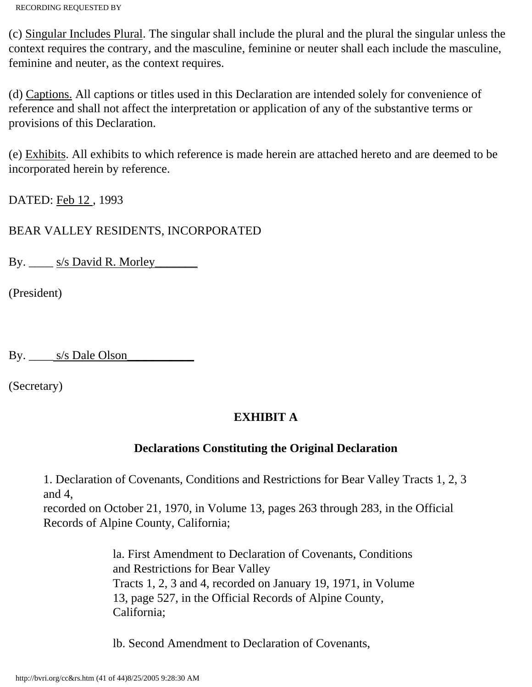(c) Singular Includes Plural. The singular shall include the plural and the plural the singular unless the context requires the contrary, and the masculine, feminine or neuter shall each include the masculine, feminine and neuter, as the context requires.

(d) Captions. All captions or titles used in this Declaration are intended solely for convenience of reference and shall not affect the interpretation or application of any of the substantive terms or provisions of this Declaration.

(e) Exhibits. All exhibits to which reference is made herein are attached hereto and are deemed to be incorporated herein by reference.

DATED: Feb 12 , 1993

BEAR VALLEY RESIDENTS, INCORPORATED

By. \_\_\_\_ s/s David R. Morley\_\_\_\_\_\_\_

(President)

By. \_\_\_\_\_\_\_ s/s Dale Olson

(Secretary)

## **EXHIBIT A**

### **Declarations Constituting the Original Declaration**

1. Declaration of Covenants, Conditions and Restrictions for Bear Valley Tracts 1, 2, 3 and 4,

recorded on October 21, 1970, in Volume 13, pages 263 through 283, in the Official Records of Alpine County, California;

> la. First Amendment to Declaration of Covenants, Conditions and Restrictions for Bear Valley Tracts 1, 2, 3 and 4, recorded on January 19, 1971, in Volume 13, page 527, in the Official Records of Alpine County, California;

lb. Second Amendment to Declaration of Covenants,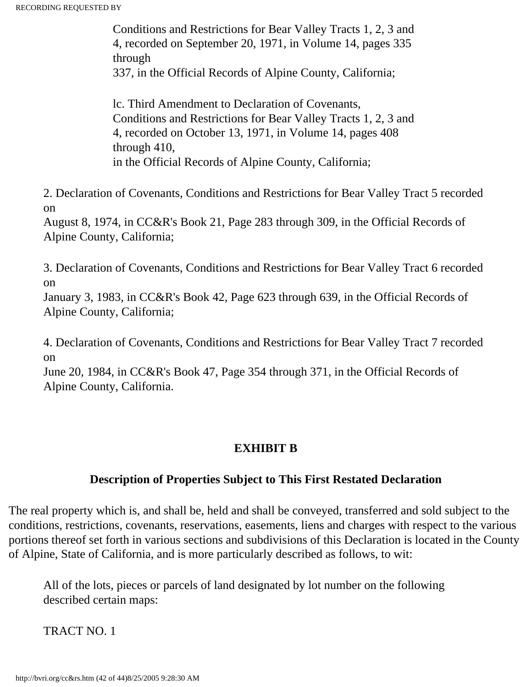Conditions and Restrictions for Bear Valley Tracts 1, 2, 3 and 4, recorded on September 20, 1971, in Volume 14, pages 335 through 337, in the Official Records of Alpine County, California;

lc. Third Amendment to Declaration of Covenants, Conditions and Restrictions for Bear Valley Tracts 1, 2, 3 and 4, recorded on October 13, 1971, in Volume 14, pages 408 through 410, in the Official Records of Alpine County, California;

2. Declaration of Covenants, Conditions and Restrictions for Bear Valley Tract 5 recorded on

August 8, 1974, in CC&R's Book 21, Page 283 through 309, in the Official Records of Alpine County, California;

3. Declaration of Covenants, Conditions and Restrictions for Bear Valley Tract 6 recorded on

January 3, 1983, in CC&R's Book 42, Page 623 through 639, in the Official Records of Alpine County, California;

4. Declaration of Covenants, Conditions and Restrictions for Bear Valley Tract 7 recorded on

June 20, 1984, in CC&R's Book 47, Page 354 through 371, in the Official Records of Alpine County, California.

### **EXHIBIT B**

### **Description of Properties Subject to This First Restated Declaration**

The real property which is, and shall be, held and shall be conveyed, transferred and sold subject to the conditions, restrictions, covenants, reservations, easements, liens and charges with respect to the various portions thereof set forth in various sections and subdivisions of this Declaration is located in the County of Alpine, State of California, and is more particularly described as follows, to wit:

All of the lots, pieces or parcels of land designated by lot number on the following described certain maps:

TRACT NO. 1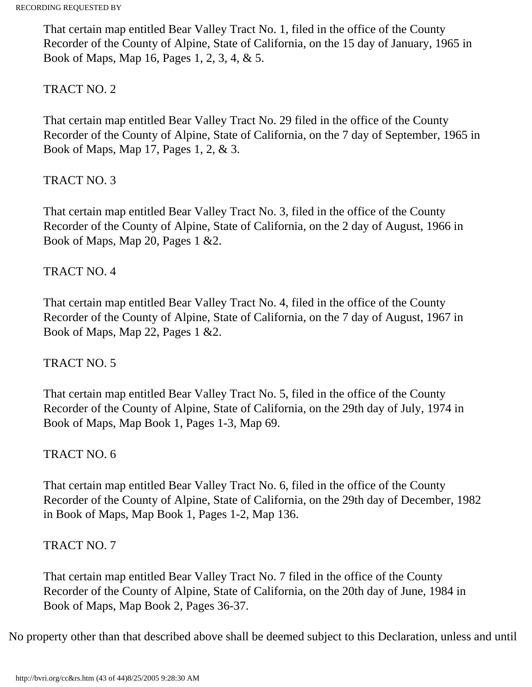That certain map entitled Bear Valley Tract No. 1, filed in the office of the County Recorder of the County of Alpine, State of California, on the 15 day of January, 1965 in Book of Maps, Map 16, Pages 1, 2, 3, 4, & 5.

### TRACT NO. 2

That certain map entitled Bear Valley Tract No. 29 filed in the office of the County Recorder of the County of Alpine, State of California, on the 7 day of September, 1965 in Book of Maps, Map 17, Pages 1, 2, & 3.

### TRACT NO. 3

That certain map entitled Bear Valley Tract No. 3, filed in the office of the County Recorder of the County of Alpine, State of California, on the 2 day of August, 1966 in Book of Maps, Map 20, Pages 1 &2.

### TRACT NO. 4

That certain map entitled Bear Valley Tract No. 4, filed in the office of the County Recorder of the County of Alpine, State of California, on the 7 day of August, 1967 in Book of Maps, Map 22, Pages 1 &2.

### TRACT NO. 5

That certain map entitled Bear Valley Tract No. 5, filed in the office of the County Recorder of the County of Alpine, State of California, on the 29th day of July, 1974 in Book of Maps, Map Book 1, Pages 1-3, Map 69.

### TRACT NO. 6

That certain map entitled Bear Valley Tract No. 6, filed in the office of the County Recorder of the County of Alpine, State of California, on the 29th day of December, 1982 in Book of Maps, Map Book 1, Pages 1-2, Map 136.

### TRACT NO. 7

That certain map entitled Bear Valley Tract No. 7 filed in the office of the County Recorder of the County of Alpine, State of California, on the 20th day of June, 1984 in Book of Maps, Map Book 2, Pages 36-37.

No property other than that described above shall be deemed subject to this Declaration, unless and until